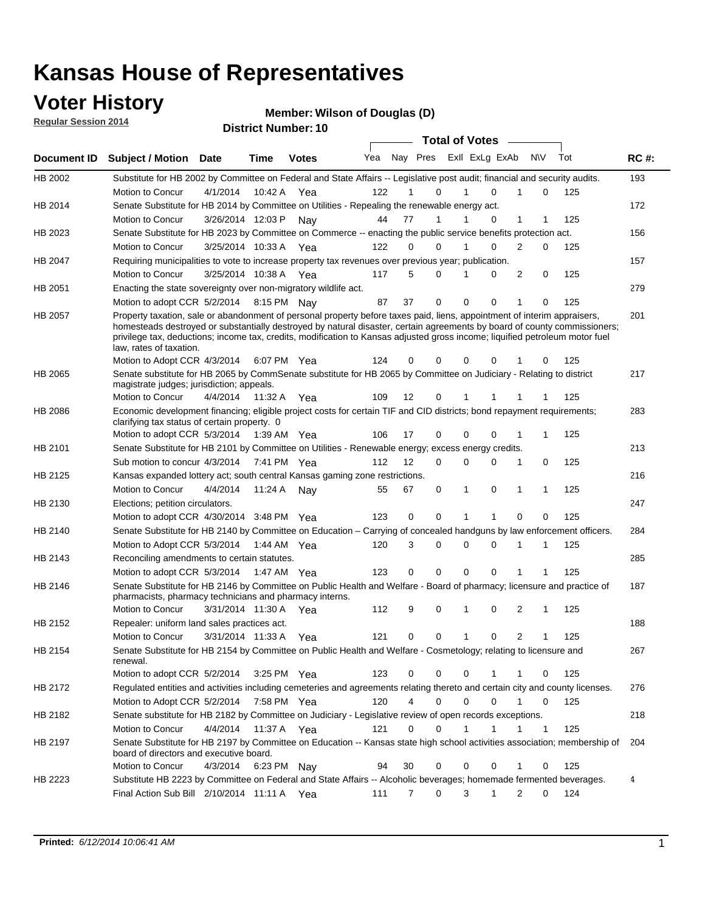### **Voter History**

**Regular Session 2014**

**Wilson of Douglas (D)**

| <b>District Number: 10</b> |  |
|----------------------------|--|
|                            |  |

|                |                                                                                                                                                                                                                                                                                                                                                                                                                  |                       |             |              |     |                |          |              | <b>Total of Votes</b>       |                |              |     |             |
|----------------|------------------------------------------------------------------------------------------------------------------------------------------------------------------------------------------------------------------------------------------------------------------------------------------------------------------------------------------------------------------------------------------------------------------|-----------------------|-------------|--------------|-----|----------------|----------|--------------|-----------------------------|----------------|--------------|-----|-------------|
| Document ID    | <b>Subject / Motion</b>                                                                                                                                                                                                                                                                                                                                                                                          | Date                  | <b>Time</b> | <b>Votes</b> | Yea |                |          |              | Nay Pres ExII ExLg ExAb N\V |                |              | Tot | <b>RC#:</b> |
| HB 2002        | Substitute for HB 2002 by Committee on Federal and State Affairs -- Legislative post audit; financial and security audits.                                                                                                                                                                                                                                                                                       |                       |             |              |     |                |          |              |                             |                |              |     | 193         |
|                | Motion to Concur                                                                                                                                                                                                                                                                                                                                                                                                 | 4/1/2014              | 10:42 A     | Yea          | 122 | 1              | $\Omega$ | 1            | $\Omega$                    | 1              | $\Omega$     | 125 |             |
| HB 2014        | Senate Substitute for HB 2014 by Committee on Utilities - Repealing the renewable energy act.                                                                                                                                                                                                                                                                                                                    |                       |             |              |     |                |          |              |                             |                |              |     | 172         |
|                | Motion to Concur                                                                                                                                                                                                                                                                                                                                                                                                 | 3/26/2014 12:03 P     |             | Nay          | 44  | 77             | 1        | 1            | 0                           | 1              |              | 125 |             |
| HB 2023        | Senate Substitute for HB 2023 by Committee on Commerce -- enacting the public service benefits protection act.                                                                                                                                                                                                                                                                                                   |                       |             |              |     |                |          |              |                             |                |              |     | 156         |
|                | Motion to Concur                                                                                                                                                                                                                                                                                                                                                                                                 | 3/25/2014 10:33 A     |             | Yea          | 122 | 0              | $\Omega$ |              | $\Omega$                    | 2              | 0            | 125 |             |
| <b>HB 2047</b> | Requiring municipalities to vote to increase property tax revenues over previous year; publication.                                                                                                                                                                                                                                                                                                              |                       |             |              |     |                |          |              |                             |                |              |     | 157         |
|                | Motion to Concur                                                                                                                                                                                                                                                                                                                                                                                                 | 3/25/2014 10:38 A     |             | Yea          | 117 | 5              | $\Omega$ | 1            | $\Omega$                    | 2              | 0            | 125 |             |
| HB 2051        | Enacting the state sovereignty over non-migratory wildlife act.                                                                                                                                                                                                                                                                                                                                                  |                       |             |              |     |                |          |              |                             |                |              |     | 279         |
|                | Motion to adopt CCR 5/2/2014 8:15 PM Nay                                                                                                                                                                                                                                                                                                                                                                         |                       |             |              | 87  | 37             | 0        | $\mathbf 0$  | 0                           | 1              | 0            | 125 |             |
| HB 2057        | Property taxation, sale or abandonment of personal property before taxes paid, liens, appointment of interim appraisers,<br>homesteads destroyed or substantially destroyed by natural disaster, certain agreements by board of county commissioners;<br>privilege tax, deductions; income tax, credits, modification to Kansas adjusted gross income; liquified petroleum motor fuel<br>law, rates of taxation. |                       |             |              |     |                |          |              |                             |                |              |     | 201         |
|                | Motion to Adopt CCR 4/3/2014                                                                                                                                                                                                                                                                                                                                                                                     |                       | 6:07 PM Yea |              | 124 | 0              | 0        | 0            | $\Omega$                    |                | 0            | 125 |             |
| HB 2065        | Senate substitute for HB 2065 by CommSenate substitute for HB 2065 by Committee on Judiciary - Relating to district<br>magistrate judges; jurisdiction; appeals.                                                                                                                                                                                                                                                 |                       |             |              |     |                |          |              |                             |                |              |     | 217         |
|                | Motion to Concur                                                                                                                                                                                                                                                                                                                                                                                                 | 4/4/2014              | 11:32 A     | Yea          | 109 | 12             | 0        | 1            |                             |                |              | 125 |             |
| <b>HB 2086</b> | Economic development financing; eligible project costs for certain TIF and CID districts; bond repayment requirements;<br>clarifying tax status of certain property. 0                                                                                                                                                                                                                                           |                       |             |              |     |                |          |              |                             |                |              |     | 283         |
|                | Motion to adopt CCR 5/3/2014 1:39 AM Yea                                                                                                                                                                                                                                                                                                                                                                         |                       |             |              | 106 | 17             | 0        | $\mathbf 0$  | $\Omega$                    | 1              |              | 125 |             |
| HB 2101        | Senate Substitute for HB 2101 by Committee on Utilities - Renewable energy; excess energy credits.                                                                                                                                                                                                                                                                                                               |                       |             |              |     |                |          |              |                             |                |              |     | 213         |
|                | Sub motion to concur 4/3/2014 7:41 PM Yea                                                                                                                                                                                                                                                                                                                                                                        |                       |             |              | 112 | 12             | 0        | 0            | $\Omega$                    | 1              | 0            | 125 |             |
| HB 2125        | Kansas expanded lottery act; south central Kansas gaming zone restrictions.                                                                                                                                                                                                                                                                                                                                      |                       |             |              |     |                |          |              |                             |                |              |     | 216         |
|                | Motion to Concur                                                                                                                                                                                                                                                                                                                                                                                                 | 4/4/2014              | 11:24 A     | Nav          | 55  | 67             | 0        | 1            | 0                           | 1              | 1            | 125 |             |
| HB 2130        | Elections; petition circulators.                                                                                                                                                                                                                                                                                                                                                                                 |                       |             |              |     |                |          |              |                             |                |              |     | 247         |
|                | Motion to adopt CCR 4/30/2014 3:48 PM Yea                                                                                                                                                                                                                                                                                                                                                                        |                       |             |              | 123 | 0              | 0        | 1            | 1                           | $\Omega$       | 0            | 125 |             |
| HB 2140        | Senate Substitute for HB 2140 by Committee on Education – Carrying of concealed handguns by law enforcement officers.                                                                                                                                                                                                                                                                                            |                       |             |              |     |                |          |              |                             |                |              |     | 284         |
|                | Motion to Adopt CCR 5/3/2014 1:44 AM Yea                                                                                                                                                                                                                                                                                                                                                                         |                       |             |              | 120 | 3              | 0        | 0            | $\mathbf 0$                 | 1              | 1            | 125 |             |
| HB 2143        | Reconciling amendments to certain statutes.                                                                                                                                                                                                                                                                                                                                                                      |                       |             |              |     |                |          |              |                             |                |              |     | 285         |
|                | Motion to adopt CCR 5/3/2014 1:47 AM Yea                                                                                                                                                                                                                                                                                                                                                                         |                       |             |              | 123 | 0              | 0        | $\mathbf 0$  | 0                           | 1              | 1            | 125 |             |
| HB 2146        | Senate Substitute for HB 2146 by Committee on Public Health and Welfare - Board of pharmacy; licensure and practice of                                                                                                                                                                                                                                                                                           |                       |             |              |     |                |          |              |                             |                |              |     | 187         |
|                | pharmacists, pharmacy technicians and pharmacy interns.                                                                                                                                                                                                                                                                                                                                                          |                       |             |              |     |                |          |              |                             |                |              |     |             |
|                | Motion to Concur                                                                                                                                                                                                                                                                                                                                                                                                 | 3/31/2014 11:30 A Yea |             |              | 112 | 9              | 0        | 1            | 0                           | 2              | 1            | 125 |             |
| HB 2152        | Repealer: uniform land sales practices act.                                                                                                                                                                                                                                                                                                                                                                      |                       |             |              |     |                |          |              |                             |                |              |     | 188         |
|                | Motion to Concur                                                                                                                                                                                                                                                                                                                                                                                                 | 3/31/2014 11:33 A     |             | Yea          | 121 | 0              | 0        | $\mathbf{1}$ | 0                           | $\overline{2}$ | 1            | 125 |             |
| HB 2154        | Senate Substitute for HB 2154 by Committee on Public Health and Welfare - Cosmetology; relating to licensure and<br>renewal.                                                                                                                                                                                                                                                                                     |                       |             |              |     |                |          |              |                             |                |              |     | 267         |
|                | Motion to adopt CCR 5/2/2014                                                                                                                                                                                                                                                                                                                                                                                     |                       |             | 3:25 PM Yea  | 123 | 0              | 0        | 0            |                             |                | 0            | 125 |             |
| HB 2172        | Regulated entities and activities including cemeteries and agreements relating thereto and certain city and county licenses.                                                                                                                                                                                                                                                                                     |                       |             |              |     |                |          |              |                             |                |              |     | 276         |
|                | Motion to Adopt CCR 5/2/2014 7:58 PM Yea                                                                                                                                                                                                                                                                                                                                                                         |                       |             |              | 120 | $\overline{4}$ | 0        | $\mathbf 0$  | $\mathbf 0$                 | $\mathbf{1}$   | 0            | 125 |             |
| HB 2182        | Senate substitute for HB 2182 by Committee on Judiciary - Legislative review of open records exceptions.                                                                                                                                                                                                                                                                                                         |                       |             |              |     |                |          |              |                             |                |              |     | 218         |
|                | Motion to Concur                                                                                                                                                                                                                                                                                                                                                                                                 | 4/4/2014 11:37 A Yea  |             |              | 121 | 0              | 0        | 1            | 1                           | 1              | $\mathbf{1}$ | 125 |             |
| HB 2197        | Senate Substitute for HB 2197 by Committee on Education -- Kansas state high school activities association; membership of<br>board of directors and executive board.                                                                                                                                                                                                                                             |                       |             |              |     |                |          |              |                             |                |              |     | 204         |
|                | Motion to Concur                                                                                                                                                                                                                                                                                                                                                                                                 | 4/3/2014              | 6:23 PM Nay |              | 94  | 30             | 0        | 0            | 0                           | 1              | 0            | 125 |             |
| HB 2223        | Substitute HB 2223 by Committee on Federal and State Affairs -- Alcoholic beverages; homemade fermented beverages.                                                                                                                                                                                                                                                                                               |                       |             |              |     |                |          |              |                             |                |              |     | 4           |
|                | Final Action Sub Bill 2/10/2014 11:11 A Yea                                                                                                                                                                                                                                                                                                                                                                      |                       |             |              | 111 | 7              | 0        | 3            | $\mathbf 1$                 | $\overline{2}$ | 0            | 124 |             |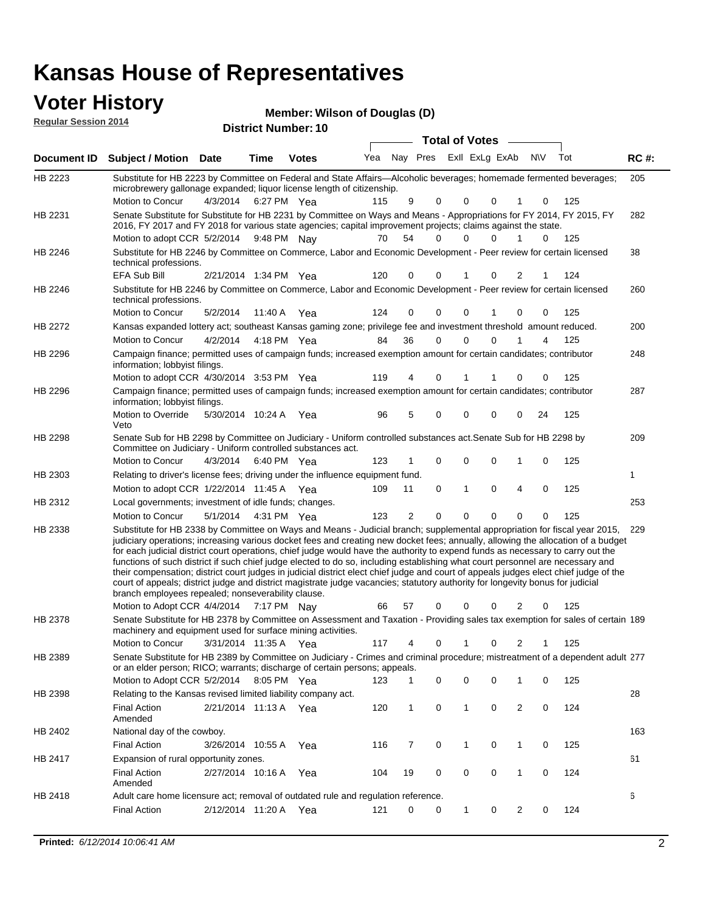#### **Voter History**

Veto

information; lobbyist filings.

| TVIVI THUIVI Y              | Member: Wilson of Douglas (D)                                                                                                                                                                                                          |                       |                            |              |     |    |          |                       |          |                |          |           |     |             |
|-----------------------------|----------------------------------------------------------------------------------------------------------------------------------------------------------------------------------------------------------------------------------------|-----------------------|----------------------------|--------------|-----|----|----------|-----------------------|----------|----------------|----------|-----------|-----|-------------|
| <b>Regular Session 2014</b> |                                                                                                                                                                                                                                        |                       | <b>District Number: 10</b> |              |     |    |          |                       |          |                |          |           |     |             |
|                             |                                                                                                                                                                                                                                        |                       |                            |              |     |    |          | <b>Total of Votes</b> |          |                |          |           |     |             |
| Document ID                 | <b>Subject / Motion</b>                                                                                                                                                                                                                | <b>Date</b>           | Time                       | <b>Votes</b> | Yea |    | Nav Pres |                       |          | ExII ExLg ExAb |          | <b>NV</b> | Tot | <b>RC#:</b> |
| HB 2223                     | Substitute for HB 2223 by Committee on Federal and State Affairs—Alcoholic beverages; homemade fermented beverages;<br>microbrewery gallonage expanded; liquor license length of citizenship.                                          |                       |                            |              |     |    |          |                       |          |                |          |           |     | 205         |
|                             | Motion to Concur                                                                                                                                                                                                                       | 4/3/2014              | 6:27 PM Yea                |              | 115 | 9  |          | 0                     | 0        | 0              |          | 0         | 125 |             |
| HB 2231                     | Senate Substitute for Substitute for HB 2231 by Committee on Ways and Means - Appropriations for FY 2014, FY 2015, FY<br>2016, FY 2017 and FY 2018 for various state agencies; capital improvement projects; claims against the state. |                       |                            |              |     |    |          |                       |          |                |          |           |     | 282         |
|                             | Motion to adopt CCR 5/2/2014                                                                                                                                                                                                           |                       | 9:48 PM Nay                |              | 70  | 54 |          | $\Omega$              | 0        | $\Omega$       |          | $\Omega$  | 125 |             |
| HB 2246                     | Substitute for HB 2246 by Committee on Commerce, Labor and Economic Development - Peer review for certain licensed<br>technical professions.                                                                                           |                       |                            |              |     |    |          |                       |          |                |          |           |     | 38          |
|                             | EFA Sub Bill                                                                                                                                                                                                                           | 2/21/2014 1:34 PM Yea |                            |              | 120 |    | $\Omega$ | 0                     |          | $\Omega$       | 2        |           | 124 |             |
| HB 2246                     | Substitute for HB 2246 by Committee on Commerce, Labor and Economic Development - Peer review for certain licensed<br>technical professions.                                                                                           |                       |                            |              |     |    |          |                       |          |                |          |           |     | 260         |
|                             | Motion to Concur                                                                                                                                                                                                                       | 5/2/2014              | 11:40 A Yea                |              | 124 |    | $\Omega$ | $\Omega$              | 0        |                | $\Omega$ |           | 125 |             |
| <b>HB 2272</b>              | Kansas expanded lottery act; southeast Kansas gaming zone; privilege fee and investment threshold amount reduced.                                                                                                                      |                       |                            |              |     |    |          |                       |          |                |          |           |     | 200         |
|                             | Motion to Concur                                                                                                                                                                                                                       | 4/2/2014              | 4:18 PM Yea                |              | 84  | 36 |          | $\Omega$              | $\Omega$ | 0              |          | 4         | 125 |             |
| HB 2296                     | Campaign finance; permitted uses of campaign funds; increased exemption amount for certain candidates; contributor<br>information; lobbyist filings.                                                                                   |                       |                            |              |     |    |          |                       |          |                |          |           |     | 248         |
|                             | Motion to adopt CCR 4/30/2014 3:53 PM Yea                                                                                                                                                                                              |                       |                            |              | 119 | 4  |          | 0                     |          |                | 0        |           | 125 |             |
| HB 2296                     | Campaign finance; permitted uses of campaign funds; increased exemption amount for certain candidates; contributor                                                                                                                     |                       |                            |              |     |    |          |                       |          |                |          |           |     | 287         |

209 4/3/2014 HB 2298 Motion to Concur 4/3/2014 6:40 PM Yea 123 1 0 0 0 1 0 125 Senate Sub for HB 2298 by Committee on Judiciary - Uniform controlled substances act.Senate Sub for HB 2298 by Committee on Judiciary - Uniform controlled substances act. 6:40 PM Yea 1 1/22/2014 Motion to adopt CCR Yea 125 11:45 A 109 11 0 0 40 1 HB 2303 Relating to driver's license fees; driving under the influence equipment fund. 253 5/1/2014 HB 2312 Motion to Concur Yea 125 4:31 PM 123 2 0 0 00 0 Local governments; investment of idle funds; changes. Substitute for HB 2338 by Committee on Ways and Means - Judicial branch; supplemental appropriation for fiscal year 2015, 229 Motion to Adopt CCR 4/4/2014 7:17 PM Nay 66 57 0 0 0 2 0 125 HB 2338 judiciary operations; increasing various docket fees and creating new docket fees; annually, allowing the allocation of a budget for each judicial district court operations, chief judge would have the authority to expend funds as necessary to carry out the functions of such district if such chief judge elected to do so, including establishing what court personnel are necessary and their compensation; district court judges in judicial district elect chief judge and court of appeals judges elect chief judge of the court of appeals; district judge and district magistrate judge vacancies; statutory authority for longevity bonus for judicial branch employees repealed; nonseverability clause. 7:17 PM Nay 66 57 0 0 0 2 0 Senate Substitute for HB 2378 by Committee on Assessment and Taxation - Providing sales tax exemption for sales of certain 189 HB 2378

Motion to Override 5/30/2014 10:24 A Yea 96 5 0 0 0 0 24 125

3/31/2014 Motion to Concur Yea 125 11:35 A 117 4 0 0 21 1 machinery and equipment used for surface mining activities. Senate Substitute for HB 2389 by Committee on Judiciary - Crimes and criminal procedure; mistreatment of a dependent adult 277 Motion to Adopt CCR 5/2/2014 8:05 PM Yea 123 1 0 0 0 1 0 125 HB 2389 or an elder person; RICO; warrants; discharge of certain persons; appeals. 28 2/21/2014 Final Action Yea 124 11:13 A 120 1 0 0 20 1 HB 2398 Amended Relating to the Kansas revised limited liability company act. 163 Final Action 3/26/2014 10:55 A Yea 116 7 0 1 0 125 HB 2402 National day of the cowboy. 61 2/27/2014 Final Action Yea 124 10:16 A 104 19 0 0 10 0 HB 2417 Amended Expansion of rural opportunity zones. 6 2/12/2014 Final Action Yea 124 11:20 A 121 0 0 0 20 1 HB 2418 Adult care home licensure act; removal of outdated rule and regulation reference.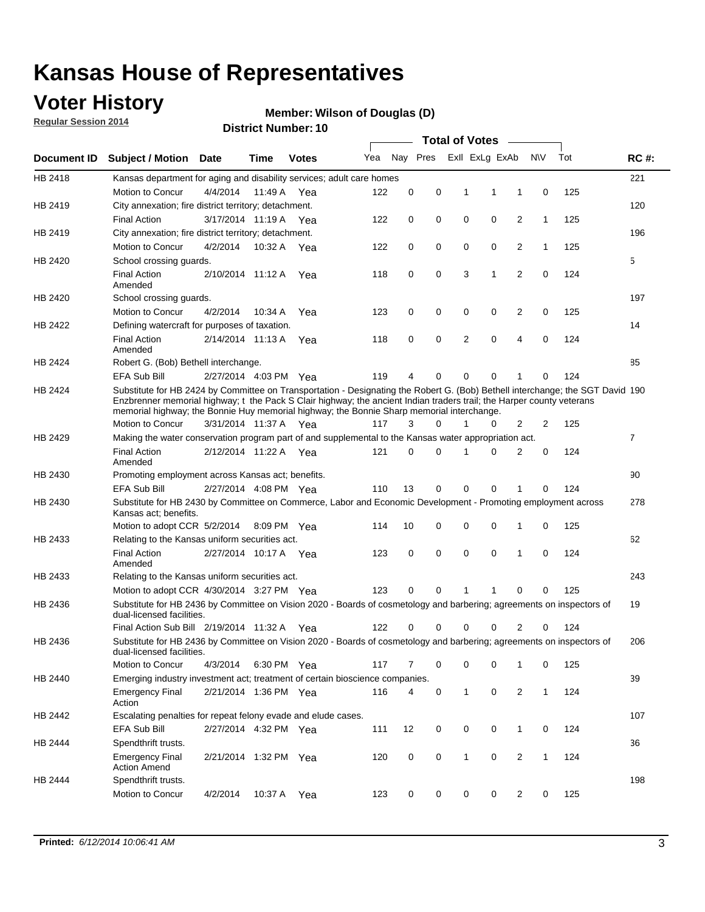### **Voter History**

**Regular Session 2014**

#### **Wilson of Douglas (D)**

|             |                                                                                                                                                                                                                                                                                                                                                      |                       |             | DISTRICT MAILINGL. TO |     |          |          |              | Total of Votes –        |                |              |     |                |
|-------------|------------------------------------------------------------------------------------------------------------------------------------------------------------------------------------------------------------------------------------------------------------------------------------------------------------------------------------------------------|-----------------------|-------------|-----------------------|-----|----------|----------|--------------|-------------------------|----------------|--------------|-----|----------------|
| Document ID | <b>Subject / Motion</b>                                                                                                                                                                                                                                                                                                                              | Date                  | Time        | <b>Votes</b>          | Yea |          |          |              | Nay Pres ExII ExLg ExAb |                | <b>NV</b>    | Tot | <b>RC#:</b>    |
| HB 2418     | Kansas department for aging and disability services; adult care homes                                                                                                                                                                                                                                                                                |                       |             |                       |     |          |          |              |                         |                |              |     | 221            |
|             | Motion to Concur                                                                                                                                                                                                                                                                                                                                     | 4/4/2014              | 11:49 A     | Yea                   | 122 | 0        | 0        | 1            | 1                       | 1              | 0            | 125 |                |
| HB 2419     | City annexation; fire district territory; detachment.                                                                                                                                                                                                                                                                                                |                       |             |                       |     |          |          |              |                         |                |              |     | 120            |
|             | <b>Final Action</b>                                                                                                                                                                                                                                                                                                                                  | 3/17/2014 11:19 A     |             | Yea                   | 122 | 0        | 0        | 0            | 0                       | 2              | 1            | 125 |                |
| HB 2419     | City annexation; fire district territory; detachment.                                                                                                                                                                                                                                                                                                |                       |             |                       |     |          |          |              |                         |                |              |     | 196            |
|             | Motion to Concur                                                                                                                                                                                                                                                                                                                                     | 4/2/2014              | 10:32 A     | Yea                   | 122 | 0        | 0        | 0            | 0                       | 2              | $\mathbf{1}$ | 125 |                |
| HB 2420     | School crossing guards.                                                                                                                                                                                                                                                                                                                              |                       |             |                       |     |          |          |              |                         |                |              |     | 5              |
|             | <b>Final Action</b><br>Amended                                                                                                                                                                                                                                                                                                                       | 2/10/2014 11:12 A     |             | Yea                   | 118 | 0        | 0        | 3            | 1                       | $\overline{2}$ | 0            | 124 |                |
| HB 2420     | School crossing guards.                                                                                                                                                                                                                                                                                                                              |                       |             |                       |     |          |          |              |                         |                |              |     | 197            |
|             | Motion to Concur                                                                                                                                                                                                                                                                                                                                     | 4/2/2014              | 10:34 A     | Yea                   | 123 | 0        | 0        | 0            | 0                       | 2              | 0            | 125 |                |
| HB 2422     | Defining watercraft for purposes of taxation.                                                                                                                                                                                                                                                                                                        |                       |             |                       |     |          |          |              |                         |                |              |     | 14             |
|             | <b>Final Action</b><br>Amended                                                                                                                                                                                                                                                                                                                       | 2/14/2014 11:13 A     |             | Yea                   | 118 | 0        | 0        | 2            | 0                       | 4              | 0            | 124 |                |
| HB 2424     | Robert G. (Bob) Bethell interchange.                                                                                                                                                                                                                                                                                                                 |                       |             |                       |     |          |          |              |                         |                |              |     | 85             |
|             | <b>EFA Sub Bill</b>                                                                                                                                                                                                                                                                                                                                  | 2/27/2014 4:03 PM Yea |             |                       | 119 | 4        | 0        | 0            | 0                       | 1              | 0            | 124 |                |
| HB 2424     | Substitute for HB 2424 by Committee on Transportation - Designating the Robert G. (Bob) Bethell interchange; the SGT David 190<br>Enzbrenner memorial highway; t the Pack S Clair highway; the ancient Indian traders trail; the Harper county veterans<br>memorial highway; the Bonnie Huy memorial highway; the Bonnie Sharp memorial interchange. |                       |             |                       |     |          |          |              |                         |                |              |     |                |
|             | Motion to Concur                                                                                                                                                                                                                                                                                                                                     | 3/31/2014 11:37 A Yea |             |                       | 117 | 3        | $\Omega$ | 1            | 0                       | 2              | 2            | 125 |                |
| HB 2429     | Making the water conservation program part of and supplemental to the Kansas water appropriation act.                                                                                                                                                                                                                                                |                       |             |                       |     |          |          |              |                         |                |              |     | $\overline{7}$ |
|             | <b>Final Action</b><br>Amended                                                                                                                                                                                                                                                                                                                       | 2/12/2014 11:22 A Yea |             |                       | 121 | $\Omega$ | 0        | 1            | 0                       | 2              | 0            | 124 |                |
| HB 2430     | Promoting employment across Kansas act; benefits.                                                                                                                                                                                                                                                                                                    |                       |             |                       |     |          |          |              |                         |                |              |     | 90             |
|             | <b>EFA Sub Bill</b>                                                                                                                                                                                                                                                                                                                                  | 2/27/2014 4:08 PM Yea |             |                       | 110 | 13       | 0        | 0            | 0                       |                | 0            | 124 |                |
| HB 2430     | Substitute for HB 2430 by Committee on Commerce, Labor and Economic Development - Promoting employment across<br>Kansas act; benefits.                                                                                                                                                                                                               |                       |             |                       |     |          |          |              |                         |                |              |     | 278            |
|             | Motion to adopt CCR 5/2/2014                                                                                                                                                                                                                                                                                                                         |                       | 8:09 PM Yea |                       | 114 | 10       | 0        | 0            | 0                       | 1              | 0            | 125 |                |
| HB 2433     | Relating to the Kansas uniform securities act.                                                                                                                                                                                                                                                                                                       |                       |             |                       |     |          |          |              |                         |                |              |     | 62             |
|             | <b>Final Action</b><br>Amended                                                                                                                                                                                                                                                                                                                       | 2/27/2014 10:17 A Yea |             |                       | 123 | 0        | 0        | $\mathbf 0$  | 0                       | 1              | $\mathbf 0$  | 124 |                |
| HB 2433     | Relating to the Kansas uniform securities act.                                                                                                                                                                                                                                                                                                       |                       |             |                       |     |          |          |              |                         |                |              |     | 243            |
|             | Motion to adopt CCR 4/30/2014 3:27 PM Yea                                                                                                                                                                                                                                                                                                            |                       |             |                       | 123 | $\Omega$ | $\Omega$ | 1            | 1                       | 0              | 0            | 125 |                |
| HB 2436     | Substitute for HB 2436 by Committee on Vision 2020 - Boards of cosmetology and barbering; agreements on inspectors of<br>dual-licensed facilities.                                                                                                                                                                                                   |                       |             |                       |     |          |          |              |                         |                |              |     | 19             |
|             | Final Action Sub Bill 2/19/2014 11:32 A                                                                                                                                                                                                                                                                                                              |                       |             | Yea                   | 122 |          | 0        | 0            | 0                       | 2              | 0            | 124 |                |
| HB 2436     | Substitute for HB 2436 by Committee on Vision 2020 - Boards of cosmetology and barbering; agreements on inspectors of<br>dual-licensed facilities.                                                                                                                                                                                                   |                       |             |                       |     |          |          |              |                         |                |              |     | 206            |
|             | Motion to Concur                                                                                                                                                                                                                                                                                                                                     | 4/3/2014              | 6:30 PM Yea |                       | 117 | 7        | 0        | 0            | 0                       | 1              | 0            | 125 |                |
| HB 2440     | Emerging industry investment act; treatment of certain bioscience companies.                                                                                                                                                                                                                                                                         |                       |             |                       |     |          |          |              |                         |                |              |     | 39             |
|             | <b>Emergency Final</b><br>Action                                                                                                                                                                                                                                                                                                                     | 2/21/2014 1:36 PM Yea |             |                       | 116 | 4        | 0        | 1            | $\mathbf 0$             | 2              | $\mathbf{1}$ | 124 |                |
| HB 2442     | Escalating penalties for repeat felony evade and elude cases.                                                                                                                                                                                                                                                                                        |                       |             |                       |     |          |          |              |                         |                |              |     | 107            |
|             | EFA Sub Bill                                                                                                                                                                                                                                                                                                                                         | 2/27/2014 4:32 PM Yea |             |                       | 111 | 12       | 0        | 0            | 0                       | $\mathbf{1}$   | 0            | 124 |                |
| HB 2444     | Spendthrift trusts.                                                                                                                                                                                                                                                                                                                                  |                       |             |                       |     |          |          |              |                         |                |              |     | 36             |
|             | <b>Emergency Final</b><br><b>Action Amend</b>                                                                                                                                                                                                                                                                                                        | 2/21/2014 1:32 PM Yea |             |                       | 120 | 0        | 0        | $\mathbf{1}$ | 0                       | $\overline{c}$ | $\mathbf{1}$ | 124 |                |
| HB 2444     | Spendthrift trusts.                                                                                                                                                                                                                                                                                                                                  |                       |             |                       |     |          |          |              |                         |                |              |     | 198            |
|             | Motion to Concur                                                                                                                                                                                                                                                                                                                                     | 4/2/2014              | 10:37 A Yea |                       | 123 | 0        | 0        | 0            | 0                       | $\overline{2}$ | 0            | 125 |                |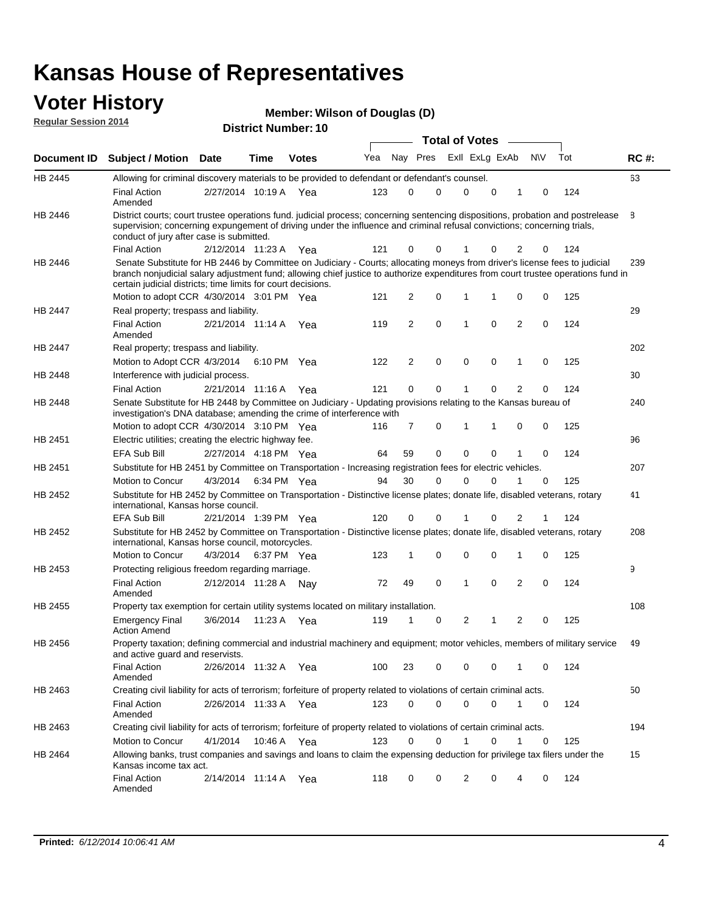# **Voter History Member: Regular Session 2014**

|  | Member: Wilson of Douglas (D) |  |  |
|--|-------------------------------|--|--|
|--|-------------------------------|--|--|

| <u>Regular Session 2014</u> |                                                                                                                                                                                                                                                                                                                                 |                       |             | <b>District Number: 10</b> |     |    |                |             |                       |             |                |             |     |             |
|-----------------------------|---------------------------------------------------------------------------------------------------------------------------------------------------------------------------------------------------------------------------------------------------------------------------------------------------------------------------------|-----------------------|-------------|----------------------------|-----|----|----------------|-------------|-----------------------|-------------|----------------|-------------|-----|-------------|
|                             |                                                                                                                                                                                                                                                                                                                                 |                       |             |                            |     |    |                |             | <b>Total of Votes</b> |             |                |             |     |             |
| Document ID                 | <b>Subject / Motion</b>                                                                                                                                                                                                                                                                                                         | <b>Date</b>           | Time        | <b>Votes</b>               | Yea |    | Nay Pres       |             | Exll ExLg ExAb        |             |                | N\V         | Tot | <b>RC#:</b> |
| HB 2445                     | Allowing for criminal discovery materials to be provided to defendant or defendant's counsel.                                                                                                                                                                                                                                   |                       |             |                            |     |    |                |             |                       |             |                |             |     | 63          |
|                             | <b>Final Action</b><br>Amended                                                                                                                                                                                                                                                                                                  | 2/27/2014 10:19 A     |             | Yea                        | 123 |    | 0              | 0           | 0                     | $\mathbf 0$ | 1              | 0           | 124 |             |
| HB 2446                     | District courts; court trustee operations fund. judicial process; concerning sentencing dispositions, probation and postrelease<br>supervision; concerning expungement of driving under the influence and criminal refusal convictions; concerning trials,<br>conduct of jury after case is submitted.                          |                       |             |                            |     |    |                |             |                       |             |                |             |     | 8           |
|                             | <b>Final Action</b>                                                                                                                                                                                                                                                                                                             | 2/12/2014 11:23 A     |             | Yea                        | 121 |    | 0              | 0           | 1                     | $\mathbf 0$ | 2              | 0           | 124 |             |
| HB 2446                     | Senate Substitute for HB 2446 by Committee on Judiciary - Courts; allocating moneys from driver's license fees to judicial<br>branch nonjudicial salary adjustment fund; allowing chief justice to authorize expenditures from court trustee operations fund in<br>certain judicial districts; time limits for court decisions. |                       |             |                            |     |    |                |             |                       |             |                |             |     | 239         |
|                             | Motion to adopt CCR 4/30/2014 3:01 PM Yea                                                                                                                                                                                                                                                                                       |                       |             |                            | 121 |    | 2              | 0           | 1                     | 1           | $\mathbf 0$    | 0           | 125 |             |
| <b>HB 2447</b>              | Real property; trespass and liability.                                                                                                                                                                                                                                                                                          |                       |             |                            |     |    |                |             |                       |             |                |             |     | 29          |
|                             | <b>Final Action</b><br>Amended                                                                                                                                                                                                                                                                                                  | 2/21/2014 11:14 A     |             | Yea                        | 119 |    | $\overline{2}$ | $\mathbf 0$ | $\mathbf{1}$          | $\mathbf 0$ | $\overline{2}$ | $\mathbf 0$ | 124 |             |
| HB 2447                     | Real property; trespass and liability.                                                                                                                                                                                                                                                                                          |                       |             |                            |     |    |                |             |                       |             |                |             |     | 202         |
|                             | Motion to Adopt CCR 4/3/2014                                                                                                                                                                                                                                                                                                    |                       | 6:10 PM Yea |                            | 122 |    | $\overline{2}$ | 0           | $\mathbf 0$           | 0           | 1              | 0           | 125 |             |
| HB 2448                     | Interference with judicial process.                                                                                                                                                                                                                                                                                             |                       |             |                            |     |    |                |             |                       |             |                |             |     | 30          |
|                             | <b>Final Action</b>                                                                                                                                                                                                                                                                                                             | 2/21/2014 11:16 A     |             | Yea                        | 121 |    | 0              | 0           | $\mathbf{1}$          | $\Omega$    | $\overline{2}$ | $\Omega$    | 124 |             |
| HB 2448                     | Senate Substitute for HB 2448 by Committee on Judiciary - Updating provisions relating to the Kansas bureau of<br>investigation's DNA database; amending the crime of interference with                                                                                                                                         |                       |             |                            |     |    |                |             |                       |             |                |             |     | 240         |
|                             | Motion to adopt CCR 4/30/2014 3:10 PM Yea                                                                                                                                                                                                                                                                                       |                       |             |                            | 116 |    | 7              | $\mathbf 0$ | 1                     | 1           | 0              | $\mathbf 0$ | 125 |             |
| HB 2451                     | Electric utilities; creating the electric highway fee.                                                                                                                                                                                                                                                                          |                       |             |                            |     |    |                |             |                       |             |                |             |     | 96          |
|                             | <b>EFA Sub Bill</b>                                                                                                                                                                                                                                                                                                             | 2/27/2014 4:18 PM Yea |             |                            | 64  | 59 |                | 0           | 0                     | $\mathbf 0$ | 1              | $\mathbf 0$ | 124 |             |
| HB 2451                     | Substitute for HB 2451 by Committee on Transportation - Increasing registration fees for electric vehicles.                                                                                                                                                                                                                     |                       |             |                            |     |    |                |             |                       |             |                |             |     | 207         |
|                             | Motion to Concur                                                                                                                                                                                                                                                                                                                | 4/3/2014              |             | 6:34 PM Yea                | 94  | 30 |                | $\Omega$    | $\Omega$              | 0           |                | $\mathbf 0$ | 125 |             |
| HB 2452                     | Substitute for HB 2452 by Committee on Transportation - Distinctive license plates; donate life, disabled veterans, rotary<br>international, Kansas horse council.                                                                                                                                                              |                       |             |                            |     |    |                |             |                       |             |                |             |     | 41          |
|                             | <b>EFA Sub Bill</b>                                                                                                                                                                                                                                                                                                             | 2/21/2014 1:39 PM Yea |             |                            | 120 |    | 0              | 0           | 1                     | 0           | 2              |             | 124 |             |
| HB 2452                     | Substitute for HB 2452 by Committee on Transportation - Distinctive license plates; donate life, disabled veterans, rotary<br>international, Kansas horse council, motorcycles.                                                                                                                                                 |                       |             |                            |     |    |                |             |                       |             |                |             |     | 208         |
|                             | Motion to Concur                                                                                                                                                                                                                                                                                                                | 4/3/2014              |             | 6:37 PM Yea                | 123 |    | 1              | $\mathbf 0$ | 0                     | $\mathbf 0$ | 1              | 0           | 125 |             |
| HB 2453                     | Protecting religious freedom regarding marriage.                                                                                                                                                                                                                                                                                |                       |             |                            |     |    |                |             |                       |             |                |             |     | 9           |
|                             | <b>Final Action</b><br>Amended                                                                                                                                                                                                                                                                                                  | 2/12/2014 11:28 A Nay |             |                            | 72  | 49 |                | 0           | $\mathbf{1}$          | $\Omega$    | $\overline{2}$ | $\mathbf 0$ | 124 |             |
| HB 2455                     | Property tax exemption for certain utility systems located on military installation.                                                                                                                                                                                                                                            |                       |             |                            |     |    |                |             |                       |             |                |             |     | 108         |
|                             | <b>Emergency Final</b><br><b>Action Amend</b>                                                                                                                                                                                                                                                                                   | 3/6/2014              | 11:23 A     | Yea                        | 119 |    | 1              | 0           | 2                     | 1           | $\overline{2}$ | 0           | 125 |             |
| HB 2456                     | Property taxation; defining commercial and industrial machinery and equipment; motor vehicles, members of military service<br>and active guard and reservists.                                                                                                                                                                  |                       |             |                            |     |    |                |             |                       |             |                |             |     | 49          |
|                             | <b>Final Action</b><br>Amended                                                                                                                                                                                                                                                                                                  | 2/26/2014 11:32 A Yea |             |                            | 100 | 23 |                | 0           | 0                     | 0           | 1              | 0           | 124 |             |
| HB 2463                     | Creating civil liability for acts of terrorism; forfeiture of property related to violations of certain criminal acts.                                                                                                                                                                                                          |                       |             |                            |     |    |                |             |                       |             |                |             |     | 50          |
|                             | <b>Final Action</b><br>Amended                                                                                                                                                                                                                                                                                                  | 2/26/2014 11:33 A Yea |             |                            | 123 |    | 0              | 0           | 0                     | 0           | 1              | 0           | 124 |             |
| HB 2463                     | Creating civil liability for acts of terrorism; forfeiture of property related to violations of certain criminal acts.                                                                                                                                                                                                          |                       |             |                            |     |    |                |             |                       |             |                |             |     | 194         |
|                             | Motion to Concur                                                                                                                                                                                                                                                                                                                | 4/1/2014              |             | 10:46 A Yea                | 123 |    | 0              | 0           | $\mathbf{1}$          | 0           | 1              | 0           | 125 |             |
| HB 2464                     | Allowing banks, trust companies and savings and loans to claim the expensing deduction for privilege tax filers under the<br>Kansas income tax act.                                                                                                                                                                             |                       |             |                            |     |    |                |             |                       |             |                |             |     | 15          |
|                             | <b>Final Action</b><br>Amended                                                                                                                                                                                                                                                                                                  | 2/14/2014 11:14 A Yea |             |                            | 118 |    | 0              | 0           | $\overline{2}$        | 0           | 4              | 0           | 124 |             |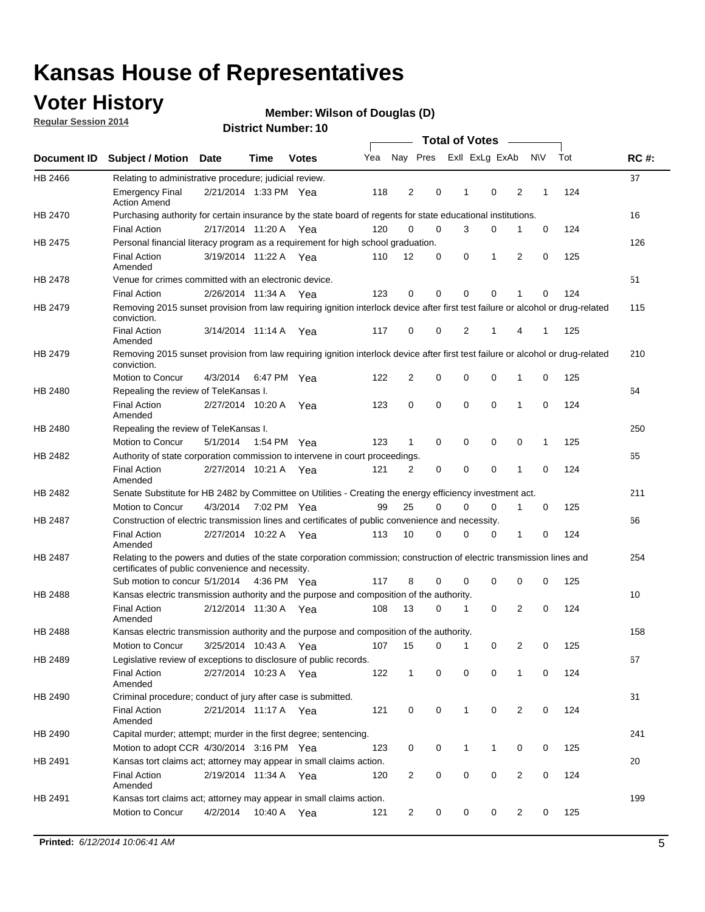### **Voter History**

**Regular Session 2014**

#### **Wilson of Douglas (D)**

|                    |                                                                                                                                                                             |                       |             |              |     |                |             | <b>Total of Votes</b> |             |                |             |     |             |
|--------------------|-----------------------------------------------------------------------------------------------------------------------------------------------------------------------------|-----------------------|-------------|--------------|-----|----------------|-------------|-----------------------|-------------|----------------|-------------|-----|-------------|
| <b>Document ID</b> | <b>Subject / Motion</b>                                                                                                                                                     | <b>Date</b>           | Time        | <b>Votes</b> | Yea |                | Nay Pres    | Exll ExLg ExAb        |             |                | <b>NV</b>   | Tot | <b>RC#:</b> |
| HB 2466            | Relating to administrative procedure; judicial review.                                                                                                                      |                       |             |              |     |                |             |                       |             |                |             |     | 37          |
|                    | <b>Emergency Final</b><br><b>Action Amend</b>                                                                                                                               | 2/21/2014 1:33 PM Yea |             |              | 118 | $\overline{2}$ | 0           | 1                     | $\mathbf 0$ | 2              | 1           | 124 |             |
| <b>HB 2470</b>     | Purchasing authority for certain insurance by the state board of regents for state educational institutions.                                                                |                       |             |              |     |                |             |                       |             |                |             |     | 16          |
|                    | <b>Final Action</b>                                                                                                                                                         | 2/17/2014 11:20 A Yea |             |              | 120 | $\mathbf 0$    | $\mathbf 0$ | 3                     | 0           | 1              | $\mathbf 0$ | 124 |             |
| HB 2475            | Personal financial literacy program as a requirement for high school graduation.                                                                                            |                       |             |              |     |                |             |                       |             |                |             |     | 126         |
|                    | <b>Final Action</b><br>Amended                                                                                                                                              | 3/19/2014 11:22 A Yea |             |              | 110 | 12             | 0           | 0                     | 1           | 2              | 0           | 125 |             |
| HB 2478            | Venue for crimes committed with an electronic device.                                                                                                                       |                       |             |              |     |                |             |                       |             |                |             |     | 51          |
|                    | <b>Final Action</b>                                                                                                                                                         | 2/26/2014 11:34 A     |             | Yea          | 123 | 0              | 0           | $\Omega$              | $\mathbf 0$ | 1              | 0           | 124 |             |
| HB 2479            | Removing 2015 sunset provision from law requiring ignition interlock device after first test failure or alcohol or drug-related<br>conviction.                              |                       |             |              |     |                |             |                       |             |                |             |     | 115         |
|                    | <b>Final Action</b><br>Amended                                                                                                                                              | 3/14/2014 11:14 A     |             | Yea          | 117 | 0              | 0           | $\overline{2}$        | 1           | 4              | 1           | 125 |             |
| HB 2479            | Removing 2015 sunset provision from law requiring ignition interlock device after first test failure or alcohol or drug-related<br>conviction.                              |                       |             |              |     |                |             |                       |             |                |             |     | 210         |
|                    | Motion to Concur                                                                                                                                                            | 4/3/2014              |             | 6:47 PM Yea  | 122 | $\overline{2}$ | $\mathbf 0$ | $\mathbf 0$           | $\mathbf 0$ | 1              | 0           | 125 |             |
| HB 2480            | Repealing the review of TeleKansas I.                                                                                                                                       |                       |             |              |     |                |             |                       |             |                |             |     | 64          |
|                    | <b>Final Action</b><br>Amended                                                                                                                                              | 2/27/2014 10:20 A Yea |             |              | 123 | 0              | $\mathbf 0$ | $\mathbf 0$           | $\mathbf 0$ | 1              | 0           | 124 |             |
| HB 2480            | Repealing the review of TeleKansas I.                                                                                                                                       |                       |             |              |     |                |             |                       |             |                |             |     | 250         |
|                    | Motion to Concur                                                                                                                                                            | 5/1/2014              | 1:54 PM Yea |              | 123 | 1              | 0           | 0                     | 0           | 0              | 1           | 125 |             |
| HB 2482            | Authority of state corporation commission to intervene in court proceedings.                                                                                                |                       |             |              |     |                |             |                       |             |                |             |     | 65          |
|                    | <b>Final Action</b><br>Amended                                                                                                                                              | 2/27/2014 10:21 A     |             | Yea          | 121 | $\overline{2}$ | 0           | $\mathbf 0$           | $\mathbf 0$ | 1              | 0           | 124 |             |
| HB 2482            | Senate Substitute for HB 2482 by Committee on Utilities - Creating the energy efficiency investment act.                                                                    |                       |             |              |     |                |             |                       |             |                |             |     | 211         |
|                    | Motion to Concur                                                                                                                                                            | 4/3/2014 7:02 PM Yea  |             |              | 99  | 25             | 0           | $\Omega$              | 0           | 1              | 0           | 125 |             |
| HB 2487            | Construction of electric transmission lines and certificates of public convenience and necessity.                                                                           |                       |             |              |     |                |             |                       |             |                |             |     | 66          |
|                    | <b>Final Action</b><br>Amended                                                                                                                                              | 2/27/2014 10:22 A     |             | Yea          | 113 | 10             | 0           | $\mathbf 0$           | 0           | 1              | 0           | 124 |             |
| HB 2487            | Relating to the powers and duties of the state corporation commission; construction of electric transmission lines and<br>certificates of public convenience and necessity. |                       |             |              |     |                |             |                       |             |                |             |     | 254         |
|                    | Sub motion to concur 5/1/2014 4:36 PM Yea                                                                                                                                   |                       |             |              | 117 | 8              | 0           | 0                     | $\mathbf 0$ | 0              | 0           | 125 |             |
| HB 2488            | Kansas electric transmission authority and the purpose and composition of the authority.                                                                                    |                       |             |              |     |                |             |                       |             |                |             |     | 10          |
|                    | <b>Final Action</b><br>Amended                                                                                                                                              | 2/12/2014 11:30 A     |             | Yea          | 108 | 13             | 0           | 1                     | 0           | 2              | 0           | 124 |             |
| HB 2488            | Kansas electric transmission authority and the purpose and composition of the authority.                                                                                    |                       |             |              |     |                |             |                       |             |                |             |     | 158         |
|                    | Motion to Concur                                                                                                                                                            | 3/25/2014 10:43 A     |             | Yea          | 107 | 15             | 0           | $\mathbf{1}$          | 0           | 2              | 0           | 125 |             |
| HB 2489            | Legislative review of exceptions to disclosure of public records.                                                                                                           |                       |             |              |     |                |             |                       |             |                |             |     | 67          |
|                    | <b>Final Action</b><br>Amended                                                                                                                                              | 2/27/2014 10:23 A Yea |             |              | 122 | $\mathbf{1}$   | 0           | 0                     | 0           | 1              | 0           | 124 |             |
| HB 2490            | Criminal procedure; conduct of jury after case is submitted.                                                                                                                |                       |             |              |     |                |             |                       |             |                |             |     | 31          |
|                    | <b>Final Action</b><br>Amended                                                                                                                                              | 2/21/2014 11:17 A Yea |             |              | 121 | 0              | 0           | $\mathbf{1}$          | 0           | 2              | 0           | 124 |             |
| HB 2490            | Capital murder; attempt; murder in the first degree; sentencing.                                                                                                            |                       |             |              |     |                |             |                       |             |                |             |     | 241         |
|                    | Motion to adopt CCR 4/30/2014 3:16 PM Yea                                                                                                                                   |                       |             |              | 123 | 0              | 0           | 1                     | 1           | 0              | 0           | 125 |             |
| HB 2491            | Kansas tort claims act; attorney may appear in small claims action.                                                                                                         |                       |             |              |     |                |             |                       |             |                |             |     | 20          |
|                    | <b>Final Action</b><br>Amended                                                                                                                                              | 2/19/2014 11:34 A Yea |             |              | 120 | $\overline{c}$ | 0           | 0                     | 0           | $\overline{2}$ | 0           | 124 |             |
| HB 2491            | Kansas tort claims act; attorney may appear in small claims action.                                                                                                         |                       |             |              |     |                |             |                       |             |                |             |     | 199         |
|                    | Motion to Concur                                                                                                                                                            | 4/2/2014              |             | 10:40 A Yea  | 121 | $\overline{c}$ | 0           | 0                     | 0           | $\overline{2}$ | 0           | 125 |             |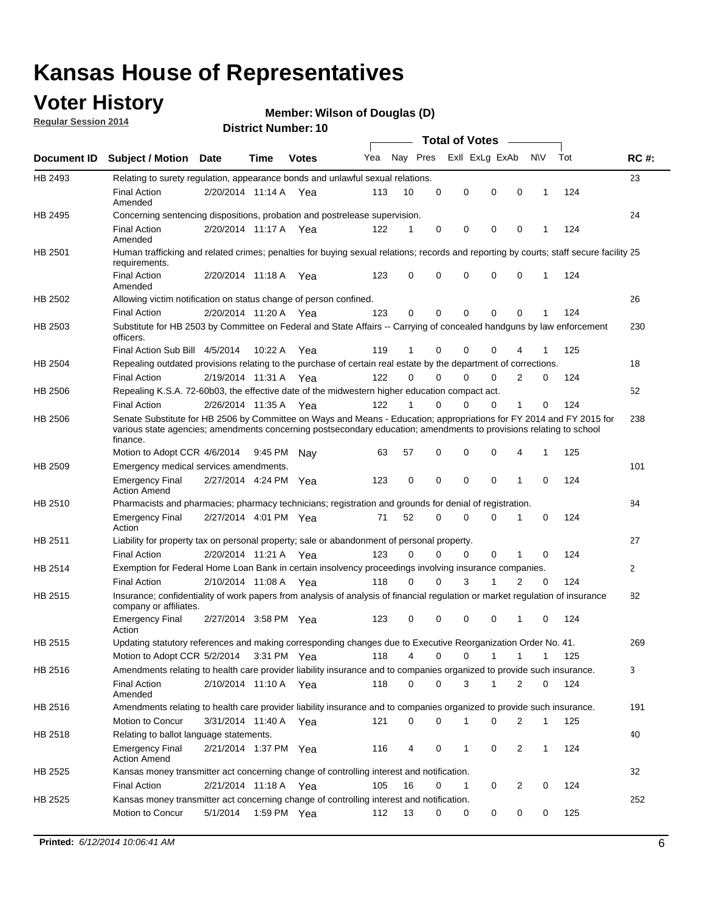### **Voter History**

**Regular Session 2014**

#### **Wilson of Douglas (D)**

|                |                                                                                                                                                                                                                                                        |                       |         |              |     |          |          | <b>Total of Votes</b> |              |                |              |     |              |
|----------------|--------------------------------------------------------------------------------------------------------------------------------------------------------------------------------------------------------------------------------------------------------|-----------------------|---------|--------------|-----|----------|----------|-----------------------|--------------|----------------|--------------|-----|--------------|
|                | Document ID Subject / Motion Date                                                                                                                                                                                                                      |                       | Time    | <b>Votes</b> | Yea | Nay Pres |          | Exll ExLg ExAb        |              |                | <b>NV</b>    | Tot | <b>RC#:</b>  |
| HB 2493        | Relating to surety regulation, appearance bonds and unlawful sexual relations.                                                                                                                                                                         |                       |         |              |     |          |          |                       |              |                |              |     | 23           |
|                | <b>Final Action</b><br>Amended                                                                                                                                                                                                                         | 2/20/2014 11:14 A Yea |         |              | 113 | 10       | 0        | 0                     | $\mathbf 0$  | 0              | $\mathbf{1}$ | 124 |              |
| HB 2495        | Concerning sentencing dispositions, probation and postrelease supervision.                                                                                                                                                                             |                       |         |              |     |          |          |                       |              |                |              |     | 24           |
|                | <b>Final Action</b><br>Amended                                                                                                                                                                                                                         | 2/20/2014 11:17 A Yea |         |              | 122 | 1        | 0        | 0                     | $\mathbf 0$  | 0              | -1           | 124 |              |
| HB 2501        | Human trafficking and related crimes; penalties for buying sexual relations; records and reporting by courts; staff secure facility 25<br>requirements.                                                                                                |                       |         |              |     |          |          |                       |              |                |              |     |              |
|                | <b>Final Action</b><br>Amended                                                                                                                                                                                                                         | 2/20/2014 11:18 A Yea |         |              | 123 | 0        | 0        | 0                     | $\Omega$     | 0              | $\mathbf{1}$ | 124 |              |
| HB 2502        | Allowing victim notification on status change of person confined.                                                                                                                                                                                      |                       |         |              |     |          |          |                       |              |                |              |     | 26           |
|                | <b>Final Action</b>                                                                                                                                                                                                                                    | 2/20/2014 11:20 A Yea |         |              | 123 | 0        | 0        | $\Omega$              | $\Omega$     | 0              |              | 124 |              |
| HB 2503        | Substitute for HB 2503 by Committee on Federal and State Affairs -- Carrying of concealed handguns by law enforcement<br>officers.                                                                                                                     |                       |         |              |     |          |          |                       |              |                |              |     | 230          |
|                | Final Action Sub Bill 4/5/2014                                                                                                                                                                                                                         |                       | 10:22 A | Yea          | 119 | 1        | 0        | $\Omega$              | $\Omega$     | 4              |              | 125 |              |
| HB 2504        | Repealing outdated provisions relating to the purchase of certain real estate by the department of corrections.                                                                                                                                        |                       |         |              |     |          |          |                       |              |                |              |     | 18           |
|                | <b>Final Action</b>                                                                                                                                                                                                                                    | 2/19/2014 11:31 A Yea |         |              | 122 | $\Omega$ | $\Omega$ | $\Omega$              | $\Omega$     | 2              | 0            | 124 |              |
| <b>HB 2506</b> | Repealing K.S.A. 72-60b03, the effective date of the midwestern higher education compact act.                                                                                                                                                          |                       |         |              |     |          |          |                       |              |                |              |     | 52           |
|                | <b>Final Action</b>                                                                                                                                                                                                                                    | 2/26/2014 11:35 A Yea |         |              | 122 |          | $\Omega$ | $\Omega$              | 0            | 1              | 0            | 124 |              |
| HB 2506        | Senate Substitute for HB 2506 by Committee on Ways and Means - Education; appropriations for FY 2014 and FY 2015 for<br>various state agencies; amendments concerning postsecondary education; amendments to provisions relating to school<br>finance. |                       |         |              |     |          |          |                       |              |                |              |     | 238          |
|                | Motion to Adopt CCR 4/6/2014                                                                                                                                                                                                                           |                       | 9:45 PM | Nav          | 63  | 57       | 0        | 0                     | 0            | 4              | -1           | 125 |              |
| HB 2509        | Emergency medical services amendments.                                                                                                                                                                                                                 |                       |         |              |     |          |          |                       |              |                |              |     | 101          |
|                | <b>Emergency Final</b><br><b>Action Amend</b>                                                                                                                                                                                                          | 2/27/2014 4:24 PM Yea |         |              | 123 | 0        | 0        | $\mathbf 0$           | $\mathbf 0$  | 1              | 0            | 124 |              |
| HB 2510        | Pharmacists and pharmacies; pharmacy technicians; registration and grounds for denial of registration.                                                                                                                                                 |                       |         |              |     |          |          |                       |              |                |              |     | 84           |
|                | <b>Emergency Final</b><br>Action                                                                                                                                                                                                                       | 2/27/2014 4:01 PM Yea |         |              | 71  | 52       | $\Omega$ | 0                     | $\Omega$     | 1              | 0            | 124 |              |
| HB 2511        | Liability for property tax on personal property; sale or abandonment of personal property.                                                                                                                                                             |                       |         |              |     |          |          |                       |              |                |              |     | 27           |
|                | <b>Final Action</b>                                                                                                                                                                                                                                    | 2/20/2014 11:21 A Yea |         |              | 123 | $\Omega$ | $\Omega$ | $\Omega$              | 0            | 1              | 0            | 124 |              |
| HB 2514        | Exemption for Federal Home Loan Bank in certain insolvency proceedings involving insurance companies.                                                                                                                                                  |                       |         |              |     |          |          |                       |              |                |              |     | $\mathbf{2}$ |
|                | <b>Final Action</b>                                                                                                                                                                                                                                    | 2/10/2014 11:08 A Yea |         |              | 118 | 0        | 0        | 3                     | 1            | $\overline{2}$ | $\mathbf 0$  | 124 |              |
| <b>HB 2515</b> | Insurance; confidentiality of work papers from analysis of analysis of financial regulation or market regulation of insurance<br>company or affiliates.                                                                                                |                       |         |              |     |          |          |                       |              |                |              |     | 82           |
|                | <b>Emergency Final</b><br>Action                                                                                                                                                                                                                       | 2/27/2014 3:58 PM Yea |         |              | 123 | 0        | 0        | 0                     | 0            | 1              | 0            | 124 |              |
| HB 2515        | Updating statutory references and making corresponding changes due to Executive Reorganization Order No. 41.                                                                                                                                           |                       |         |              |     |          |          |                       |              |                |              |     | 269          |
|                | Motion to Adopt CCR 5/2/2014 3:31 PM Yea                                                                                                                                                                                                               |                       |         |              | 118 | 4        | 0        | 0                     | $\mathbf{1}$ | $\mathbf{1}$   | $\mathbf{1}$ | 125 |              |
| HB 2516        | Amendments relating to health care provider liability insurance and to companies organized to provide such insurance.                                                                                                                                  |                       |         |              |     |          |          |                       |              |                |              |     | 3            |
|                | <b>Final Action</b><br>Amended                                                                                                                                                                                                                         | 2/10/2014 11:10 A Yea |         |              | 118 | 0        | 0        | 3                     | $\mathbf{1}$ | 2              | 0            | 124 |              |
| HB 2516        | Amendments relating to health care provider liability insurance and to companies organized to provide such insurance.                                                                                                                                  |                       |         |              |     |          |          |                       |              |                |              |     | 191          |
|                | Motion to Concur                                                                                                                                                                                                                                       | 3/31/2014 11:40 A Yea |         |              | 121 | 0        | 0        | 1                     | 0            | 2              | $\mathbf{1}$ | 125 |              |
| HB 2518        | Relating to ballot language statements.                                                                                                                                                                                                                |                       |         |              |     |          |          |                       |              |                |              |     | 40           |
|                | <b>Emergency Final</b><br><b>Action Amend</b>                                                                                                                                                                                                          | 2/21/2014 1:37 PM Yea |         |              | 116 | 4        | 0        | 1                     | 0            | 2              | $\mathbf{1}$ | 124 |              |
| HB 2525        | Kansas money transmitter act concerning change of controlling interest and notification.                                                                                                                                                               |                       |         |              |     |          |          |                       |              |                |              |     | 32           |
|                | <b>Final Action</b>                                                                                                                                                                                                                                    | 2/21/2014 11:18 A Yea |         |              | 105 | 16       | 0        | 1                     | 0            | $\overline{2}$ | 0            | 124 |              |
| HB 2525        | Kansas money transmitter act concerning change of controlling interest and notification.<br>Motion to Concur                                                                                                                                           | 5/1/2014              |         | 1:59 PM Yea  | 112 | 13       | 0        | 0                     | 0            | 0              | 0            | 125 | 252          |
|                |                                                                                                                                                                                                                                                        |                       |         |              |     |          |          |                       |              |                |              |     |              |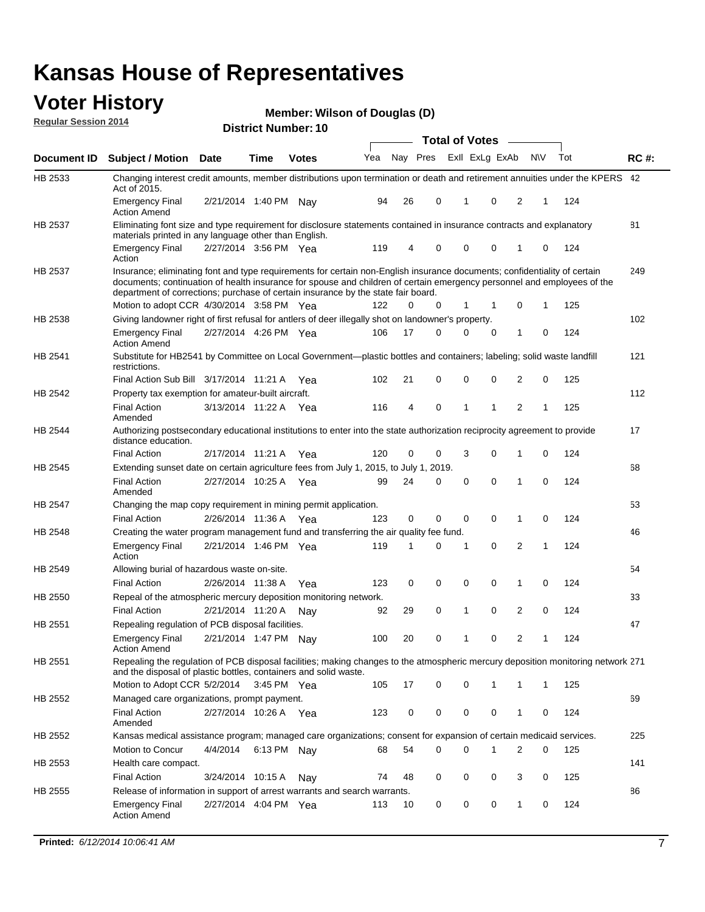#### **Voter History Regular Session 2014**

| Member: Wilson of Douglas (D) |  |  |
|-------------------------------|--|--|
|-------------------------------|--|--|

|                    |                                                                                                                                                                                                                                                                                                                                           |                       |             |              |     |    |                         | <b>Total of Votes</b> |          |                |     |     |             |
|--------------------|-------------------------------------------------------------------------------------------------------------------------------------------------------------------------------------------------------------------------------------------------------------------------------------------------------------------------------------------|-----------------------|-------------|--------------|-----|----|-------------------------|-----------------------|----------|----------------|-----|-----|-------------|
| <b>Document ID</b> | <b>Subject / Motion Date</b>                                                                                                                                                                                                                                                                                                              |                       | Time        | <b>Votes</b> | Yea |    | Nay Pres Exll ExLg ExAb |                       |          |                | N\V | Tot | <b>RC#:</b> |
| HB 2533            | Changing interest credit amounts, member distributions upon termination or death and retirement annuities under the KPERS 42<br>Act of 2015.                                                                                                                                                                                              |                       |             |              |     |    |                         |                       |          |                |     |     |             |
|                    | <b>Emergency Final</b><br><b>Action Amend</b>                                                                                                                                                                                                                                                                                             | 2/21/2014 1:40 PM Nay |             |              | 94  | 26 | 0                       | 1                     | 0        | 2              | 1   | 124 |             |
| HB 2537            | Eliminating font size and type requirement for disclosure statements contained in insurance contracts and explanatory                                                                                                                                                                                                                     |                       |             |              |     |    |                         |                       |          |                |     |     | 81          |
|                    | materials printed in any language other than English.<br><b>Emergency Final</b>                                                                                                                                                                                                                                                           | 2/27/2014 3:56 PM Yea |             |              | 119 | 4  | 0                       | 0                     | 0        | 1              | 0   | 124 |             |
|                    | Action                                                                                                                                                                                                                                                                                                                                    |                       |             |              |     |    |                         |                       |          |                |     |     |             |
| HB 2537            | Insurance; eliminating font and type requirements for certain non-English insurance documents; confidentiality of certain<br>documents; continuation of health insurance for spouse and children of certain emergency personnel and employees of the<br>department of corrections; purchase of certain insurance by the state fair board. |                       |             |              |     |    |                         |                       |          |                |     |     | 249         |
|                    | Motion to adopt CCR 4/30/2014 3:58 PM Yea                                                                                                                                                                                                                                                                                                 |                       |             |              | 122 | 0  | 0                       | 1                     | 1        | $\mathbf 0$    | 1   | 125 |             |
| HB 2538            | Giving landowner right of first refusal for antlers of deer illegally shot on landowner's property.                                                                                                                                                                                                                                       |                       |             |              |     |    |                         |                       |          |                |     |     | 102         |
|                    | <b>Emergency Final</b><br><b>Action Amend</b>                                                                                                                                                                                                                                                                                             | 2/27/2014 4:26 PM Yea |             |              | 106 | 17 | 0                       | 0                     | 0        | 1              | 0   | 124 |             |
| HB 2541            | Substitute for HB2541 by Committee on Local Government—plastic bottles and containers; labeling; solid waste landfill<br>restrictions.                                                                                                                                                                                                    |                       |             |              |     |    |                         |                       |          |                |     |     | 121         |
|                    | Final Action Sub Bill 3/17/2014 11:21 A Yea                                                                                                                                                                                                                                                                                               |                       |             |              | 102 | 21 | 0                       | 0                     | 0        | 2              | 0   | 125 |             |
| HB 2542            | Property tax exemption for amateur-built aircraft.                                                                                                                                                                                                                                                                                        |                       |             |              |     |    |                         |                       |          |                |     |     | 112         |
|                    | <b>Final Action</b><br>Amended                                                                                                                                                                                                                                                                                                            | 3/13/2014 11:22 A Yea |             |              | 116 | 4  | 0                       | 1                     | 1        | 2              | 1   | 125 |             |
| HB 2544            | Authorizing postsecondary educational institutions to enter into the state authorization reciprocity agreement to provide<br>distance education.                                                                                                                                                                                          |                       |             |              |     |    |                         |                       |          |                |     |     | 17          |
|                    | <b>Final Action</b>                                                                                                                                                                                                                                                                                                                       | 2/17/2014 11:21 A Yea |             |              | 120 | 0  | 0                       | 3                     | 0        | 1              | 0   | 124 |             |
| HB 2545            | Extending sunset date on certain agriculture fees from July 1, 2015, to July 1, 2019.                                                                                                                                                                                                                                                     |                       |             |              |     |    |                         |                       |          |                |     |     | 68          |
|                    | <b>Final Action</b><br>Amended                                                                                                                                                                                                                                                                                                            | 2/27/2014 10:25 A Yea |             |              | 99  | 24 | 0                       | $\mathbf 0$           | $\Omega$ | 1              | 0   | 124 |             |
| HB 2547            | Changing the map copy requirement in mining permit application.                                                                                                                                                                                                                                                                           |                       |             |              |     |    |                         |                       |          |                |     |     | 53          |
|                    | <b>Final Action</b>                                                                                                                                                                                                                                                                                                                       | 2/26/2014 11:36 A     |             | Yea          | 123 | 0  | 0                       | 0                     | 0        | 1              | 0   | 124 |             |
| HB 2548            | Creating the water program management fund and transferring the air quality fee fund.                                                                                                                                                                                                                                                     |                       |             |              |     |    |                         |                       |          |                |     |     | 46          |
|                    | <b>Emergency Final</b><br>Action                                                                                                                                                                                                                                                                                                          | 2/21/2014 1:46 PM Yea |             |              | 119 | 1  | 0                       | 1                     | 0        | 2              | 1   | 124 |             |
| HB 2549            | Allowing burial of hazardous waste on-site.                                                                                                                                                                                                                                                                                               |                       |             |              |     |    |                         |                       |          |                |     |     | 54          |
|                    | <b>Final Action</b>                                                                                                                                                                                                                                                                                                                       | 2/26/2014 11:38 A     |             | Yea          | 123 | 0  | $\mathbf 0$             | $\mathbf 0$           | 0        | 1              | 0   | 124 |             |
| HB 2550            | Repeal of the atmospheric mercury deposition monitoring network.                                                                                                                                                                                                                                                                          |                       |             |              |     |    |                         |                       |          |                |     |     | 33          |
|                    | <b>Final Action</b>                                                                                                                                                                                                                                                                                                                       | 2/21/2014 11:20 A     |             | Nav          | 92  | 29 | 0                       | $\mathbf{1}$          | 0        | $\overline{c}$ | 0   | 124 |             |
| HB 2551            | Repealing regulation of PCB disposal facilities.                                                                                                                                                                                                                                                                                          |                       |             |              |     |    |                         |                       |          |                |     |     | 47          |
|                    | <b>Emergency Final</b><br>Action Amend                                                                                                                                                                                                                                                                                                    | 2/21/2014 1:47 PM Nay |             |              | 100 | 20 | 0                       | $\mathbf{1}$          | 0        | 2              | 1   | 124 |             |
| HB 2551            | Repealing the regulation of PCB disposal facilities; making changes to the atmospheric mercury deposition monitoring network 271<br>and the disposal of plastic bottles, containers and solid waste.                                                                                                                                      |                       |             |              |     |    |                         |                       |          |                |     |     |             |
|                    | Motion to Adopt CCR 5/2/2014                                                                                                                                                                                                                                                                                                              |                       | 3:45 PM Yea |              | 105 | 17 | 0                       | 0                     | 1        | 1              | 1   | 125 |             |
| HB 2552            | Managed care organizations, prompt payment.                                                                                                                                                                                                                                                                                               |                       |             |              |     |    |                         |                       |          |                |     |     | 69          |
|                    | <b>Final Action</b><br>Amended                                                                                                                                                                                                                                                                                                            | 2/27/2014 10:26 A Yea |             |              | 123 | 0  | 0                       | 0                     | 0        | 1              | 0   | 124 |             |
| HB 2552            | Kansas medical assistance program; managed care organizations; consent for expansion of certain medicaid services.                                                                                                                                                                                                                        |                       |             |              |     |    |                         |                       |          |                |     |     | 225         |
|                    | Motion to Concur                                                                                                                                                                                                                                                                                                                          | 4/4/2014              | 6:13 PM Nay |              | 68  | 54 | 0                       | 0                     | 1        | 2              | 0   | 125 |             |
| HB 2553            | Health care compact.                                                                                                                                                                                                                                                                                                                      |                       |             |              |     |    |                         |                       |          |                |     |     | 141         |
|                    | <b>Final Action</b>                                                                                                                                                                                                                                                                                                                       | 3/24/2014 10:15 A     |             | Nay          | 74  | 48 | 0                       | 0                     | 0        | 3              | 0   | 125 |             |
| HB 2555            | Release of information in support of arrest warrants and search warrants.                                                                                                                                                                                                                                                                 |                       |             |              |     |    |                         |                       |          |                |     |     | 86          |
|                    | <b>Emergency Final</b><br><b>Action Amend</b>                                                                                                                                                                                                                                                                                             | 2/27/2014 4:04 PM Yea |             |              | 113 | 10 | 0                       | 0                     | 0        | 1              | 0   | 124 |             |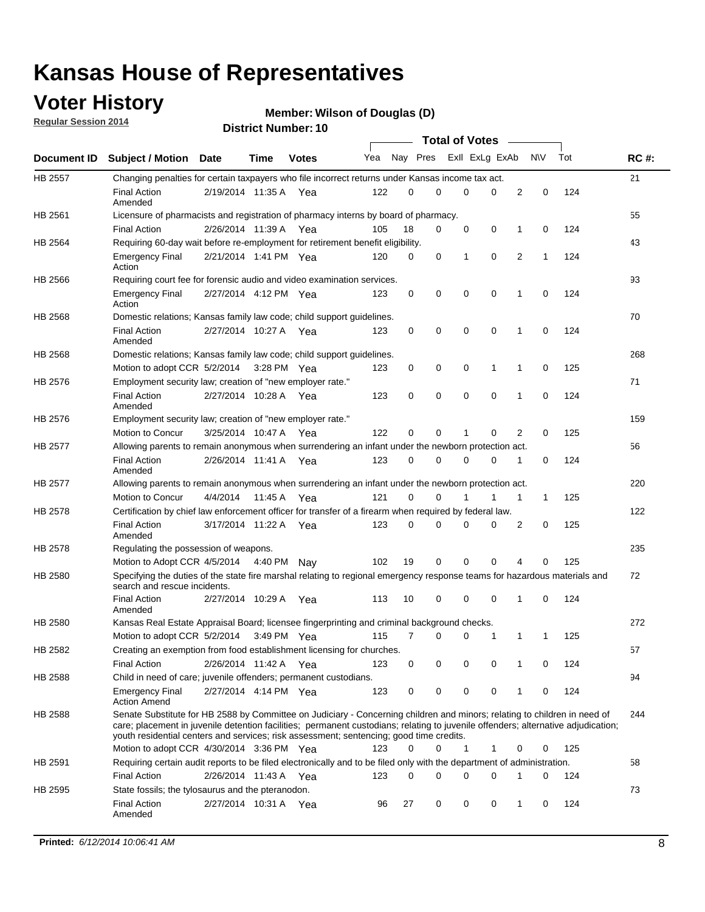### **Voter History**

**Regular Session 2014**

#### **Wilson of Douglas (D)**

|                |                                                                                                                                                                                                                                                                                                                                                           |                       |         |              |     |          |   | <b>Total of Votes</b> |             |              |              |     |             |
|----------------|-----------------------------------------------------------------------------------------------------------------------------------------------------------------------------------------------------------------------------------------------------------------------------------------------------------------------------------------------------------|-----------------------|---------|--------------|-----|----------|---|-----------------------|-------------|--------------|--------------|-----|-------------|
|                | Document ID Subject / Motion Date                                                                                                                                                                                                                                                                                                                         |                       | Time    | <b>Votes</b> | Yea | Nay Pres |   | Exll ExLg ExAb        |             |              | <b>NV</b>    | Tot | <b>RC#:</b> |
| <b>HB 2557</b> | Changing penalties for certain taxpayers who file incorrect returns under Kansas income tax act.                                                                                                                                                                                                                                                          |                       |         |              |     |          |   |                       |             |              |              |     | 21          |
|                | <b>Final Action</b><br>Amended                                                                                                                                                                                                                                                                                                                            | 2/19/2014 11:35 A     |         | Yea          | 122 | 0        | 0 | 0                     | 0           | 2            | 0            | 124 |             |
| HB 2561        | Licensure of pharmacists and registration of pharmacy interns by board of pharmacy.                                                                                                                                                                                                                                                                       |                       |         |              |     |          |   |                       |             |              |              |     | 55          |
|                | <b>Final Action</b>                                                                                                                                                                                                                                                                                                                                       | 2/26/2014 11:39 A Yea |         |              | 105 | 18       | 0 | 0                     | 0           | 1            | 0            | 124 |             |
| HB 2564        | Requiring 60-day wait before re-employment for retirement benefit eligibility.                                                                                                                                                                                                                                                                            |                       |         |              |     |          |   |                       |             |              |              |     | 43          |
|                | <b>Emergency Final</b><br>Action                                                                                                                                                                                                                                                                                                                          | 2/21/2014 1:41 PM Yea |         |              | 120 | 0        | 0 | 1                     | 0           | 2            | 1            | 124 |             |
| HB 2566        | Requiring court fee for forensic audio and video examination services.                                                                                                                                                                                                                                                                                    |                       |         |              |     |          |   |                       |             |              |              |     | 93          |
|                | <b>Emergency Final</b><br>Action                                                                                                                                                                                                                                                                                                                          | 2/27/2014 4:12 PM Yea |         |              | 123 | 0        | 0 | 0                     | $\mathbf 0$ | 1            | $\mathbf 0$  | 124 |             |
| HB 2568        | Domestic relations; Kansas family law code; child support guidelines.                                                                                                                                                                                                                                                                                     |                       |         |              |     |          |   |                       |             |              |              |     | 70          |
|                | <b>Final Action</b><br>Amended                                                                                                                                                                                                                                                                                                                            | 2/27/2014 10:27 A     |         | Yea          | 123 | 0        | 0 | 0                     | 0           | 1            | 0            | 124 |             |
| HB 2568        | Domestic relations; Kansas family law code; child support guidelines.                                                                                                                                                                                                                                                                                     |                       |         |              |     |          |   |                       |             |              |              |     | 268         |
|                | Motion to adopt CCR 5/2/2014                                                                                                                                                                                                                                                                                                                              |                       |         | 3:28 PM Yea  | 123 | 0        | 0 | 0                     | 1           | 1            | 0            | 125 |             |
| HB 2576        | Employment security law; creation of "new employer rate."                                                                                                                                                                                                                                                                                                 |                       |         |              |     |          |   |                       |             |              |              |     | 71          |
|                | <b>Final Action</b><br>Amended                                                                                                                                                                                                                                                                                                                            | 2/27/2014 10:28 A     |         | Yea          | 123 | 0        | 0 | 0                     | 0           | 1            | 0            | 124 |             |
| HB 2576        | Employment security law; creation of "new employer rate."                                                                                                                                                                                                                                                                                                 |                       |         |              |     |          |   |                       |             |              |              |     | 159         |
|                | Motion to Concur                                                                                                                                                                                                                                                                                                                                          | 3/25/2014 10:47 A     |         | Yea          | 122 | 0        | 0 | 1                     | 0           | 2            | 0            | 125 |             |
| HB 2577        | Allowing parents to remain anonymous when surrendering an infant under the newborn protection act.                                                                                                                                                                                                                                                        |                       |         |              |     |          |   |                       |             |              |              |     | 56          |
|                | <b>Final Action</b><br>Amended                                                                                                                                                                                                                                                                                                                            | 2/26/2014 11:41 A Yea |         |              | 123 | 0        | 0 | 0                     | $\Omega$    | 1            | 0            | 124 |             |
| HB 2577        | Allowing parents to remain anonymous when surrendering an infant under the newborn protection act.                                                                                                                                                                                                                                                        |                       |         |              |     |          |   |                       |             |              |              |     | 220         |
|                | Motion to Concur                                                                                                                                                                                                                                                                                                                                          | 4/4/2014              | 11:45 A | Yea          | 121 | $\Omega$ | 0 |                       | 1           | $\mathbf{1}$ | $\mathbf{1}$ | 125 |             |
| HB 2578        | Certification by chief law enforcement officer for transfer of a firearm when required by federal law.                                                                                                                                                                                                                                                    |                       |         |              |     |          |   |                       |             |              |              |     | 122         |
|                | <b>Final Action</b><br>Amended                                                                                                                                                                                                                                                                                                                            | 3/17/2014 11:22 A     |         | Yea          | 123 | $\Omega$ | 0 | 0                     | $\Omega$    | 2            | 0            | 125 |             |
| HB 2578        | Regulating the possession of weapons.                                                                                                                                                                                                                                                                                                                     |                       |         |              |     |          |   |                       |             |              |              |     | 235         |
|                | Motion to Adopt CCR 4/5/2014 4:40 PM Nay                                                                                                                                                                                                                                                                                                                  |                       |         |              | 102 | 19       | 0 | 0                     | 0           | 4            | $\Omega$     | 125 |             |
| HB 2580        | Specifying the duties of the state fire marshal relating to regional emergency response teams for hazardous materials and<br>search and rescue incidents.                                                                                                                                                                                                 |                       |         |              |     |          |   |                       |             |              |              |     | 72          |
|                | <b>Final Action</b><br>Amended                                                                                                                                                                                                                                                                                                                            | 2/27/2014 10:29 A     |         | Yea          | 113 | 10       | 0 | 0                     | 0           | 1            | 0            | 124 |             |
| HB 2580        | Kansas Real Estate Appraisal Board; licensee fingerprinting and criminal background checks.                                                                                                                                                                                                                                                               |                       |         |              |     |          |   |                       |             |              |              |     | 272         |
|                | Motion to adopt CCR 5/2/2014                                                                                                                                                                                                                                                                                                                              |                       |         | 3:49 PM Yea  | 115 | 7        | 0 | 0                     | 1           | 1            | -1           | 125 |             |
| HB 2582        | Creating an exemption from food establishment licensing for churches.                                                                                                                                                                                                                                                                                     |                       |         |              |     |          |   |                       |             |              |              |     | 57          |
|                | <b>Final Action</b>                                                                                                                                                                                                                                                                                                                                       | 2/26/2014 11:42 A Yea |         |              | 123 | 0        | 0 | 0                     | 0           | 1            | 0            | 124 |             |
| HB 2588        | Child in need of care; juvenile offenders; permanent custodians.                                                                                                                                                                                                                                                                                          |                       |         |              |     |          |   |                       |             |              |              |     | 94          |
|                | <b>Emergency Final</b><br><b>Action Amend</b>                                                                                                                                                                                                                                                                                                             | 2/27/2014 4:14 PM Yea |         |              | 123 | 0        | 0 | 0                     | 0           | 1            | 0            | 124 |             |
| HB 2588        | Senate Substitute for HB 2588 by Committee on Judiciary - Concerning children and minors; relating to children in need of<br>care; placement in juvenile detention facilities; permanent custodians; relating to juvenile offenders; alternative adjudication;<br>youth residential centers and services; risk assessment; sentencing; good time credits. |                       |         |              |     |          |   |                       |             |              |              |     | 244         |
|                | Motion to adopt CCR 4/30/2014 3:36 PM Yea                                                                                                                                                                                                                                                                                                                 |                       |         |              | 123 | 0        | 0 | 1                     | 1           | 0            | 0            | 125 |             |
| HB 2591        | Requiring certain audit reports to be filed electronically and to be filed only with the department of administration.                                                                                                                                                                                                                                    |                       |         |              |     |          |   |                       |             |              |              |     | 58          |
|                | <b>Final Action</b>                                                                                                                                                                                                                                                                                                                                       | 2/26/2014 11:43 A Yea |         |              | 123 | 0        | 0 | 0                     | 0           | 1            | 0            | 124 |             |
| HB 2595        | State fossils; the tylosaurus and the pteranodon.                                                                                                                                                                                                                                                                                                         |                       |         |              |     |          |   |                       |             |              |              |     | 73          |
|                | <b>Final Action</b><br>Amended                                                                                                                                                                                                                                                                                                                            | 2/27/2014 10:31 A Yea |         |              | 96  | 27       | 0 | 0                     | 0           | 1            | 0            | 124 |             |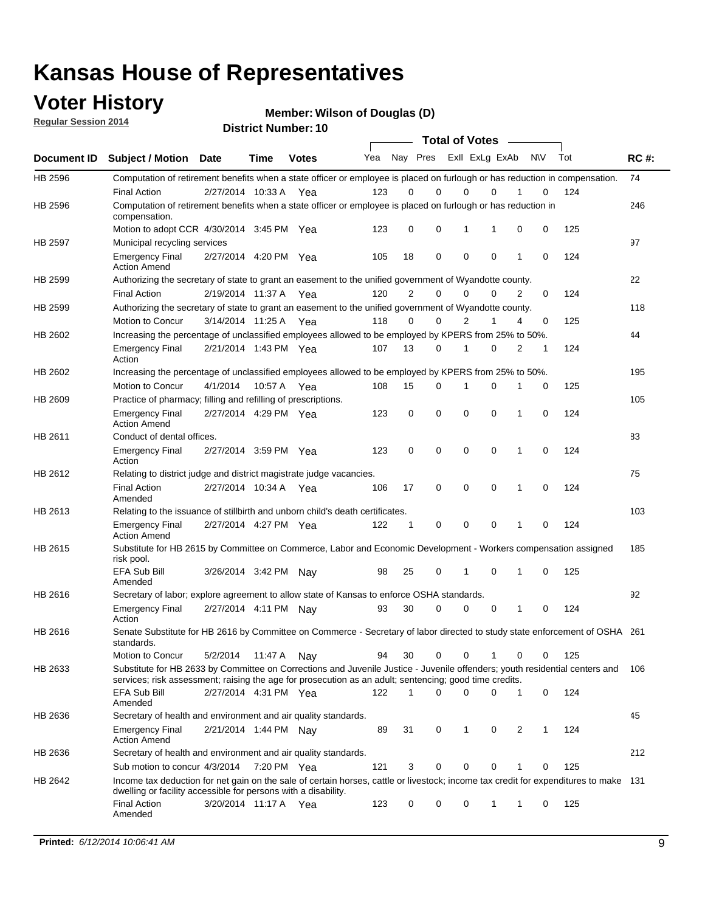### **Voter History**

**Regular Session 2014**

**Wilson of Douglas (D)**

|  |  | <b>District Number: 10</b> |
|--|--|----------------------------|
|--|--|----------------------------|

|         |                                                                                                                                                                                                                                       |                       |             |              |     |                | <b>Total of Votes</b>   |             |             |              |           |     |             |
|---------|---------------------------------------------------------------------------------------------------------------------------------------------------------------------------------------------------------------------------------------|-----------------------|-------------|--------------|-----|----------------|-------------------------|-------------|-------------|--------------|-----------|-----|-------------|
|         | Document ID Subject / Motion Date                                                                                                                                                                                                     |                       | <b>Time</b> | <b>Votes</b> | Yea |                | Nay Pres Exll ExLg ExAb |             |             |              | <b>NV</b> | Tot | <b>RC#:</b> |
| HB 2596 | Computation of retirement benefits when a state officer or employee is placed on furlough or has reduction in compensation.                                                                                                           |                       |             |              |     |                |                         |             |             |              |           |     | 74          |
|         | <b>Final Action</b>                                                                                                                                                                                                                   | 2/27/2014 10:33 A     |             | Yea          | 123 | 0              | 0                       | $\mathbf 0$ | $\Omega$    |              | 0         | 124 |             |
| HB 2596 | Computation of retirement benefits when a state officer or employee is placed on furlough or has reduction in<br>compensation.                                                                                                        |                       |             |              |     |                |                         |             |             |              |           |     | 246         |
|         | Motion to adopt CCR 4/30/2014 3:45 PM Yea                                                                                                                                                                                             |                       |             |              | 123 | 0              | 0                       | 1           | 1           | 0            | 0         | 125 |             |
| HB 2597 | Municipal recycling services                                                                                                                                                                                                          |                       |             |              |     |                |                         |             |             |              |           |     | 97          |
|         | <b>Emergency Final</b><br><b>Action Amend</b>                                                                                                                                                                                         | 2/27/2014 4:20 PM Yea |             |              | 105 | 18             | 0                       | $\mathbf 0$ | 0           | 1            | 0         | 124 |             |
| HB 2599 | Authorizing the secretary of state to grant an easement to the unified government of Wyandotte county.                                                                                                                                |                       |             |              |     |                |                         |             |             |              |           |     | 22          |
|         | <b>Final Action</b>                                                                                                                                                                                                                   | 2/19/2014 11:37 A     |             | Yea          | 120 | $\overline{2}$ | 0                       | 0           | $\Omega$    | 2            | $\Omega$  | 124 |             |
| HB 2599 | Authorizing the secretary of state to grant an easement to the unified government of Wyandotte county.                                                                                                                                |                       |             |              |     |                |                         |             |             |              |           |     | 118         |
|         | Motion to Concur                                                                                                                                                                                                                      | 3/14/2014 11:25 A Yea |             |              | 118 | 0              | 0                       | 2           | 1           | 4            | 0         | 125 |             |
| HB 2602 | Increasing the percentage of unclassified employees allowed to be employed by KPERS from 25% to 50%.                                                                                                                                  |                       |             |              |     |                |                         |             |             |              |           |     | 44          |
|         | <b>Emergency Final</b><br>Action                                                                                                                                                                                                      | 2/21/2014 1:43 PM Yea |             |              | 107 | 13             | 0                       | 1           | 0           | 2            | 1         | 124 |             |
| HB 2602 | Increasing the percentage of unclassified employees allowed to be employed by KPERS from 25% to 50%.                                                                                                                                  |                       |             |              |     |                |                         |             |             |              |           |     | 195         |
|         | Motion to Concur                                                                                                                                                                                                                      | 4/1/2014              | 10:57 A     | Yea          | 108 | 15             | 0                       | 1           | $\mathbf 0$ | 1            | 0         | 125 |             |
| HB 2609 | Practice of pharmacy; filling and refilling of prescriptions.                                                                                                                                                                         |                       |             |              |     |                |                         |             |             |              |           |     | 105         |
|         | <b>Emergency Final</b><br><b>Action Amend</b>                                                                                                                                                                                         | 2/27/2014 4:29 PM Yea |             |              | 123 | 0              | $\mathbf 0$             | $\mathbf 0$ | $\mathbf 0$ | 1            | 0         | 124 |             |
| HB 2611 | Conduct of dental offices.                                                                                                                                                                                                            |                       |             |              |     |                |                         |             |             |              |           |     | 83          |
|         | <b>Emergency Final</b><br>Action                                                                                                                                                                                                      | 2/27/2014 3:59 PM Yea |             |              | 123 | 0              | $\mathbf 0$             | $\mathbf 0$ | 0           | 1            | 0         | 124 |             |
| HB 2612 | Relating to district judge and district magistrate judge vacancies.                                                                                                                                                                   |                       |             |              |     |                |                         |             |             |              |           |     | 75          |
|         | <b>Final Action</b><br>Amended                                                                                                                                                                                                        | 2/27/2014 10:34 A     |             | Yea          | 106 | 17             | $\mathbf 0$             | $\mathbf 0$ | $\mathbf 0$ | 1            | 0         | 124 |             |
| HB 2613 | Relating to the issuance of stillbirth and unborn child's death certificates.                                                                                                                                                         |                       |             |              |     |                |                         |             |             |              |           |     | 103         |
|         | <b>Emergency Final</b><br><b>Action Amend</b>                                                                                                                                                                                         | 2/27/2014 4:27 PM Yea |             |              | 122 | $\mathbf{1}$   | $\mathbf 0$             | $\mathbf 0$ | $\Omega$    | $\mathbf{1}$ | $\Omega$  | 124 |             |
| HB 2615 | Substitute for HB 2615 by Committee on Commerce, Labor and Economic Development - Workers compensation assigned<br>risk pool.                                                                                                         |                       |             |              |     |                |                         |             |             |              |           |     | 185         |
|         | EFA Sub Bill<br>Amended                                                                                                                                                                                                               | 3/26/2014 3:42 PM Nay |             |              | 98  | 25             | 0                       | 1           | $\mathbf 0$ | 1            | 0         | 125 |             |
| HB 2616 | Secretary of labor; explore agreement to allow state of Kansas to enforce OSHA standards.                                                                                                                                             |                       |             |              |     |                |                         |             |             |              |           |     | 92          |
|         | <b>Emergency Final</b><br>Action                                                                                                                                                                                                      | 2/27/2014 4:11 PM Nay |             |              | 93  | 30             | $\Omega$                | $\mathbf 0$ | 0           | 1            | 0         | 124 |             |
| HB 2616 | Senate Substitute for HB 2616 by Committee on Commerce - Secretary of labor directed to study state enforcement of OSHA 261<br>standards.                                                                                             |                       |             |              |     |                |                         |             |             |              |           |     |             |
|         | Motion to Concur                                                                                                                                                                                                                      | 5/2/2014 11:47 A Nay  |             |              | 94  | 30             | 0                       | 0           | 1           | 0            | 0         | 125 |             |
| HB 2633 | Substitute for HB 2633 by Committee on Corrections and Juvenile Justice - Juvenile offenders; youth residential centers and<br>services; risk assessment; raising the age for prosecution as an adult; sentencing; good time credits. |                       |             |              |     |                |                         |             |             |              |           |     | 106         |
|         | EFA Sub Bill<br>Amended                                                                                                                                                                                                               | 2/27/2014 4:31 PM Yea |             |              | 122 | 1              | $\Omega$                | $\Omega$    | 0           | 1            | 0         | 124 |             |
| HB 2636 | Secretary of health and environment and air quality standards.                                                                                                                                                                        |                       |             |              |     |                |                         |             |             |              |           |     | 45          |
|         | <b>Emergency Final</b><br><b>Action Amend</b>                                                                                                                                                                                         | 2/21/2014 1:44 PM Nav |             |              | 89  | 31             | 0                       | 1           | 0           | 2            | 1         | 124 |             |
| HB 2636 | Secretary of health and environment and air quality standards.                                                                                                                                                                        |                       |             |              |     |                |                         |             |             |              |           |     | 212         |
|         | Sub motion to concur 4/3/2014 7:20 PM Yea                                                                                                                                                                                             |                       |             |              | 121 | 3              | 0                       | 0           | 0           |              | 0         | 125 |             |
| HB 2642 | Income tax deduction for net gain on the sale of certain horses, cattle or livestock; income tax credit for expenditures to make 131                                                                                                  |                       |             |              |     |                |                         |             |             |              |           |     |             |
|         | dwelling or facility accessible for persons with a disability.<br><b>Final Action</b>                                                                                                                                                 | 3/20/2014 11:17 A Yea |             |              | 123 | 0              | 0                       | 0           | 1           | 1            | 0         | 125 |             |
|         | Amended                                                                                                                                                                                                                               |                       |             |              |     |                |                         |             |             |              |           |     |             |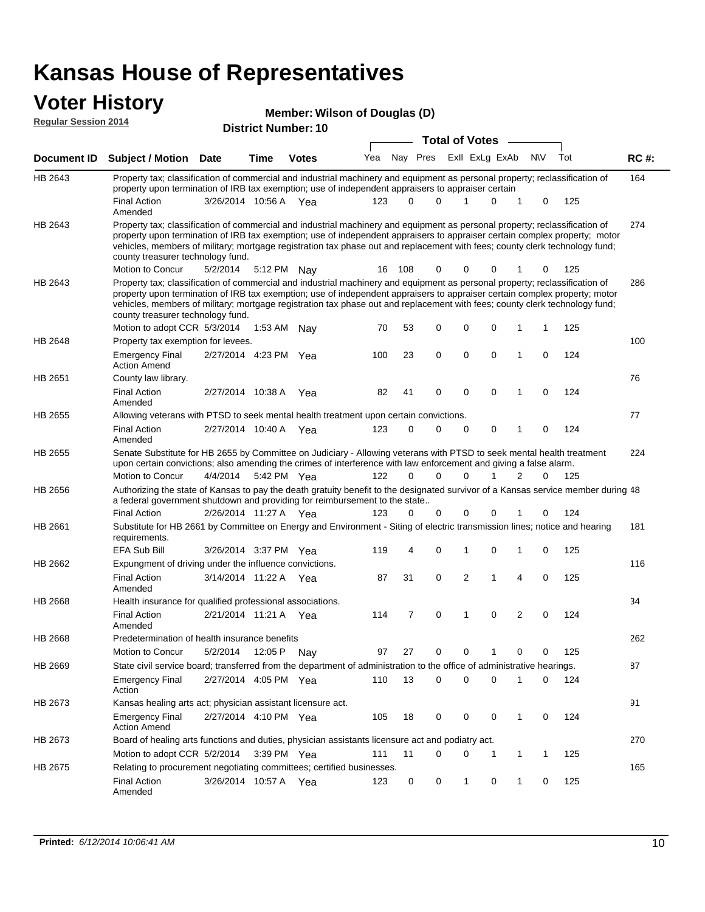#### **Voter History Member:**

|                | <b>,</b><br>Member: Wilson of Douglas (D)<br><b>Regular Session 2014</b><br><b>District Number: 10</b>                                                                                                                                                                                                                                                                                                                        |                       |             |              |     |        |              |  |                       |                |   |           |     |             |
|----------------|-------------------------------------------------------------------------------------------------------------------------------------------------------------------------------------------------------------------------------------------------------------------------------------------------------------------------------------------------------------------------------------------------------------------------------|-----------------------|-------------|--------------|-----|--------|--------------|--|-----------------------|----------------|---|-----------|-----|-------------|
|                |                                                                                                                                                                                                                                                                                                                                                                                                                               |                       |             |              |     |        |              |  |                       |                |   |           |     |             |
|                |                                                                                                                                                                                                                                                                                                                                                                                                                               |                       |             |              |     |        |              |  | <b>Total of Votes</b> |                |   |           |     |             |
| Document ID    | <b>Subject / Motion Date</b>                                                                                                                                                                                                                                                                                                                                                                                                  |                       | Time        | <b>Votes</b> | Yea |        | Nay Pres     |  |                       | Exll ExLg ExAb |   | <b>NV</b> | Tot | <b>RC#:</b> |
| HB 2643        | Property tax; classification of commercial and industrial machinery and equipment as personal property; reclassification of<br>property upon termination of IRB tax exemption; use of independent appraisers to appraiser certain                                                                                                                                                                                             |                       |             |              |     |        |              |  |                       |                |   |           |     | 164         |
|                | <b>Final Action</b><br>Amended                                                                                                                                                                                                                                                                                                                                                                                                | 3/26/2014 10:56 A Yea |             |              | 123 | 0      | <sup>n</sup> |  |                       | $\Omega$       |   | $\Omega$  | 125 |             |
| HB 2643        | Property tax; classification of commercial and industrial machinery and equipment as personal property; reclassification of<br>property upon termination of IRB tax exemption; use of independent appraisers to appraiser certain complex property; motor<br>vehicles, members of military; mortgage registration tax phase out and replacement with fees; county clerk technology fund;<br>county treasurer technology fund. |                       |             |              |     |        |              |  |                       |                |   |           |     | 274         |
|                | Motion to Concur                                                                                                                                                                                                                                                                                                                                                                                                              | 5/2/2014              | 5:12 PM Nay |              |     | 16 108 | 0            |  | 0                     | 0              |   | 0         | 125 |             |
| HB 2643        | Property tax; classification of commercial and industrial machinery and equipment as personal property; reclassification of<br>property upon termination of IRB tax exemption; use of independent appraisers to appraiser certain complex property; motor<br>vehicles, members of military; mortgage registration tax phase out and replacement with fees; county clerk technology fund;<br>county treasurer technology fund. |                       |             |              |     |        |              |  |                       |                |   |           |     | 286         |
|                | Motion to adopt CCR 5/3/2014                                                                                                                                                                                                                                                                                                                                                                                                  |                       | 1:53 AM Nay |              | 70  | 53     | $\Omega$     |  | 0                     | 0              |   |           | 125 |             |
| <b>HB 2648</b> | Property tax exemption for levees.                                                                                                                                                                                                                                                                                                                                                                                            |                       |             |              |     |        |              |  |                       |                |   |           |     | 100         |
|                | <b>Emergency Final</b><br><b>Action Amend</b>                                                                                                                                                                                                                                                                                                                                                                                 | 2/27/2014 4:23 PM Yea |             |              | 100 | 23     | $\Omega$     |  | 0                     | $\Omega$       | 1 | $\Omega$  | 124 |             |
| HB 2651        | County law library.                                                                                                                                                                                                                                                                                                                                                                                                           |                       |             |              |     |        |              |  |                       |                |   |           |     | 76          |
|                | <b>Final Action</b><br>Amended                                                                                                                                                                                                                                                                                                                                                                                                | 2/27/2014 10:38 A     |             | Yea          | 82  | 41     | $\Omega$     |  | 0                     | $\Omega$       |   | 0         | 124 |             |
| HB 2655        | Allowing veterans with PTSD to seek mental health treatment upon certain convictions.                                                                                                                                                                                                                                                                                                                                         |                       |             |              |     |        |              |  |                       |                |   |           |     | 77          |
|                | <b>Final Action</b><br>Amended                                                                                                                                                                                                                                                                                                                                                                                                | 2/27/2014 10:40 A     |             | Yea          | 123 | O      | ∩            |  | 0                     | $\Omega$       |   | 0         | 124 |             |

| HB 2655 | Senate Substitute for HB 2655 by Committee on Judiciary - Allowing veterans with PTSD to seek mental health treatment<br>upon certain convictions; also amending the crimes of interference with law enforcement and giving a false alarm. |                   |             |     |     |          |          |          |          |   |          |     | 224 |
|---------|--------------------------------------------------------------------------------------------------------------------------------------------------------------------------------------------------------------------------------------------|-------------------|-------------|-----|-----|----------|----------|----------|----------|---|----------|-----|-----|
|         | Motion to Concur                                                                                                                                                                                                                           | 4/4/2014          | 5:42 PM Yea |     | 122 | $\Omega$ | $\Omega$ | $\Omega$ |          | 2 | 0        | 125 |     |
| HB 2656 | Authorizing the state of Kansas to pay the death gratuity benefit to the designated survivor of a Kansas service member during 48<br>a federal government shutdown and providing for reimbursement to the state                            |                   |             |     |     |          |          |          |          |   |          |     |     |
|         | Final Action                                                                                                                                                                                                                               | 2/26/2014 11:27 A |             | Yea | 123 | 0        | $\Omega$ | $\Omega$ | 0        |   | $\Omega$ | 124 |     |
| HB 2661 | Substitute for HB 2661 by Committee on Energy and Environment - Siting of electric transmission lines; notice and hearing<br>requirements.                                                                                                 |                   |             |     |     |          |          |          |          |   |          |     | 181 |
|         | EFA Sub Bill                                                                                                                                                                                                                               | 3/26/2014 3:37 PM |             | Yea | 119 | 4        | $\Omega$ |          | $\Omega$ |   | $\Omega$ | 125 |     |
| HB 2662 | Expungment of driving under the influence convictions.                                                                                                                                                                                     |                   |             |     |     |          |          |          |          |   |          |     | 116 |
|         | <b>Final Action</b><br>Amended                                                                                                                                                                                                             | 3/14/2014 11:22 A |             | Yea | 87  | 31       | $\Omega$ | 2        | 1        | 4 | $\Omega$ | 125 |     |
| HB 2668 | Health insurance for qualified professional associations.                                                                                                                                                                                  |                   |             |     |     |          |          |          |          |   |          |     | 34  |
|         | <b>Final Action</b><br>Amended                                                                                                                                                                                                             | 2/21/2014         | 11:21 A     | Yea | 114 | 7        | $\Omega$ | 1        | $\Omega$ | 2 | $\Omega$ | 124 |     |
| HB 2668 | Predetermination of health insurance benefits                                                                                                                                                                                              |                   |             |     |     |          |          |          |          |   |          |     | 262 |

| HB 2668 | Predetermination of health insurance benefits                                                                          |                     |             |     |     |    |          |          |   |          |          |     | 262 |
|---------|------------------------------------------------------------------------------------------------------------------------|---------------------|-------------|-----|-----|----|----------|----------|---|----------|----------|-----|-----|
|         | Motion to Concur                                                                                                       | 5/2/2014            | 12:05 P     | Nav | 97  | 27 | $\Omega$ | $\Omega$ |   | $\Omega$ |          | 125 |     |
| HB 2669 | State civil service board; transferred from the department of administration to the office of administrative hearings. |                     |             |     |     |    |          |          |   |          |          |     | 87  |
|         | <b>Emergency Final</b><br>Action                                                                                       | 2/27/2014           | 4:05 PM     | Yea | 110 | 13 | 0        | $\Omega$ | 0 |          | 0        | 124 |     |
| HB 2673 | Kansas healing arts act; physician assistant licensure act.                                                            |                     |             |     |     |    |          |          |   |          |          |     | 91  |
|         | <b>Emergency Final</b><br><b>Action Amend</b>                                                                          | 2/27/2014   4:10 PM |             | Yea | 105 | 18 | 0        | $\Omega$ | 0 |          | $\Omega$ | 124 |     |
| HB 2673 | Board of healing arts functions and duties, physician assistants licensure act and podiatry act.                       |                     |             |     |     |    |          |          |   |          |          |     | 270 |
|         | Motion to adopt CCR 5/2/2014                                                                                           |                     | 3:39 PM Yea |     | 111 | 11 | 0        | $\Omega$ |   |          |          | 125 |     |
| HB 2675 | Relating to procurement negotiating committees; certified businesses.                                                  |                     |             |     |     |    |          |          |   | 165      |          |     |     |
|         | Final Action<br>3/26/2014<br>10:57 A<br>125<br>123<br>$\Omega$<br>$\Omega$<br>$\Omega$<br>0<br>Yea<br>Amended          |                     |             |     |     |    |          |          |   |          |          |     |     |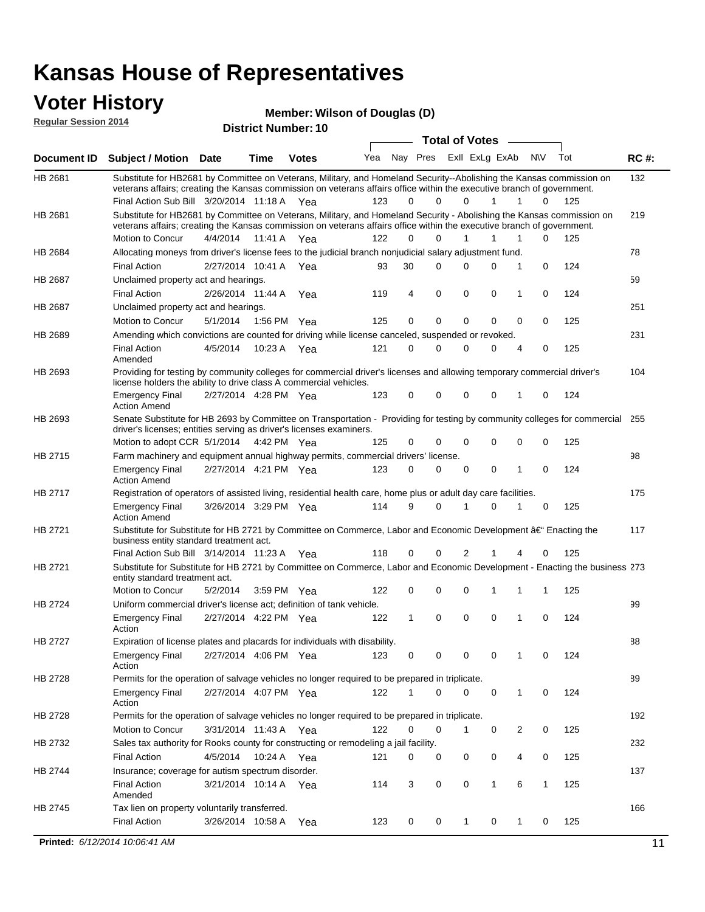### **Voter History**

**Regular Session 2014**

**Wilson of Douglas (D)**

| noguidi ocoololi 4014 |                                                                                                                                                                                                                                                                                               |                       |             | <b>District Number: 10</b> |     |    |          |                         |              |   |              |     |             |
|-----------------------|-----------------------------------------------------------------------------------------------------------------------------------------------------------------------------------------------------------------------------------------------------------------------------------------------|-----------------------|-------------|----------------------------|-----|----|----------|-------------------------|--------------|---|--------------|-----|-------------|
|                       |                                                                                                                                                                                                                                                                                               |                       |             |                            |     |    |          | <b>Total of Votes</b>   |              |   |              |     |             |
| Document ID           | Subject / Motion Date                                                                                                                                                                                                                                                                         |                       | <b>Time</b> | <b>Votes</b>               | Yea |    |          | Nay Pres ExII ExLg ExAb |              |   | N\V          | Tot | <b>RC#:</b> |
| HB 2681               | Substitute for HB2681 by Committee on Veterans, Military, and Homeland Security--Abolishing the Kansas commission on<br>veterans affairs; creating the Kansas commission on veterans affairs office within the executive branch of government.<br>Final Action Sub Bill 3/20/2014 11:18 A Yea |                       |             |                            | 123 | 0  | $\Omega$ | $\Omega$                | 1            | 1 | $\Omega$     | 125 | 132         |
| HB 2681               | Substitute for HB2681 by Committee on Veterans, Military, and Homeland Security - Abolishing the Kansas commission on<br>veterans affairs; creating the Kansas commission on veterans affairs office within the executive branch of government.                                               |                       |             |                            |     |    |          |                         |              |   |              |     | 219         |
|                       | Motion to Concur                                                                                                                                                                                                                                                                              | 4/4/2014              | 11:41 A     | Yea                        | 122 | 0  | 0        | 1                       | 1            | 1 | 0            | 125 |             |
| HB 2684               | Allocating moneys from driver's license fees to the judicial branch nonjudicial salary adjustment fund.                                                                                                                                                                                       |                       |             |                            |     |    |          |                         |              |   |              |     | 78          |
|                       | <b>Final Action</b>                                                                                                                                                                                                                                                                           | 2/27/2014 10:41 A Yea |             |                            | 93  | 30 | 0        | 0                       | 0            | 1 | $\mathbf 0$  | 124 |             |
| HB 2687               | Unclaimed property act and hearings.                                                                                                                                                                                                                                                          |                       |             |                            |     |    |          |                         |              |   |              |     | 59          |
|                       | <b>Final Action</b>                                                                                                                                                                                                                                                                           | 2/26/2014 11:44 A     |             | Yea                        | 119 | 4  | 0        | 0                       | $\mathbf 0$  | 1 | 0            | 124 |             |
| HB 2687               | Unclaimed property act and hearings.                                                                                                                                                                                                                                                          |                       |             |                            |     |    |          |                         |              |   |              |     | 251         |
|                       | Motion to Concur                                                                                                                                                                                                                                                                              | 5/1/2014              |             | 1:56 PM Yea                | 125 | 0  | 0        | 0                       | 0            | 0 | 0            | 125 |             |
| HB 2689               | Amending which convictions are counted for driving while license canceled, suspended or revoked.                                                                                                                                                                                              |                       |             |                            |     |    |          |                         |              |   |              |     | 231         |
|                       | <b>Final Action</b><br>Amended                                                                                                                                                                                                                                                                | 4/5/2014              | 10:23 A     | Yea                        | 121 | 0  | 0        | 0                       | 0            | 4 | 0            | 125 |             |
| HB 2693               | Providing for testing by community colleges for commercial driver's licenses and allowing temporary commercial driver's<br>license holders the ability to drive class A commercial vehicles.                                                                                                  |                       |             |                            |     |    |          |                         |              |   |              |     | 104         |
|                       | <b>Emergency Final</b><br><b>Action Amend</b>                                                                                                                                                                                                                                                 | 2/27/2014 4:28 PM Yea |             |                            | 123 | 0  | $\Omega$ | 0                       | 0            | 1 | 0            | 124 |             |
| HB 2693               | Senate Substitute for HB 2693 by Committee on Transportation - Providing for testing by community colleges for commercial 255<br>driver's licenses; entities serving as driver's licenses examiners.<br>Motion to adopt CCR 5/1/2014 4:42 PM Yea                                              |                       |             |                            | 125 | 0  | 0        | 0                       | 0            | 0 | 0            | 125 |             |
| HB 2715               | Farm machinery and equipment annual highway permits, commercial drivers' license.                                                                                                                                                                                                             |                       |             |                            |     |    |          |                         |              |   |              |     | 98          |
|                       | <b>Emergency Final</b><br><b>Action Amend</b>                                                                                                                                                                                                                                                 | 2/27/2014 4:21 PM Yea |             |                            | 123 | 0  | 0        | 0                       | 0            | 1 | 0            | 124 |             |
| HB 2717               | Registration of operators of assisted living, residential health care, home plus or adult day care facilities.                                                                                                                                                                                |                       |             |                            |     |    |          |                         |              |   |              |     | 175         |
|                       | <b>Emergency Final</b><br><b>Action Amend</b>                                                                                                                                                                                                                                                 | 3/26/2014 3:29 PM Yea |             |                            | 114 | 9  | 0        | 1                       | 0            | 1 | 0            | 125 |             |
| HB 2721               | Substitute for Substitute for HB 2721 by Committee on Commerce, Labor and Economic Development †Enacting the<br>business entity standard treatment act.                                                                                                                                       |                       |             |                            |     |    |          |                         |              |   |              |     | 117         |
|                       | Final Action Sub Bill 3/14/2014 11:23 A Yea                                                                                                                                                                                                                                                   |                       |             |                            | 118 | 0  | 0        | 2                       |              |   | 0            | 125 |             |
| HB 2721               | Substitute for Substitute for HB 2721 by Committee on Commerce, Labor and Economic Development - Enacting the business 273<br>entity standard treatment act.                                                                                                                                  |                       |             |                            |     |    |          |                         |              |   |              |     |             |
|                       | Motion to Concur                                                                                                                                                                                                                                                                              | 5/2/2014              |             | 3:59 PM Yea                | 122 | 0  | 0        | 0                       | 1            | 1 | 1            | 125 |             |
| HB 2724               | Uniform commercial driver's license act; definition of tank vehicle.<br><b>Emergency Final</b>                                                                                                                                                                                                | 2/27/2014 4:22 PM Yea |             |                            | 122 | 1  | 0        | 0                       | 0            | 1 | 0            | 124 | 99          |
|                       | Action                                                                                                                                                                                                                                                                                        |                       |             |                            |     |    |          |                         |              |   |              |     |             |
| HB 2727               | Expiration of license plates and placards for individuals with disability.<br><b>Emergency Final</b><br>Action                                                                                                                                                                                | 2/27/2014 4:06 PM Yea |             |                            | 123 | 0  | 0        | 0                       | 0            | 1 | 0            | 124 | 88          |
| HB 2728               | Permits for the operation of salvage vehicles no longer required to be prepared in triplicate.                                                                                                                                                                                                |                       |             |                            |     |    |          |                         |              |   |              |     | 89          |
|                       | <b>Emergency Final</b><br>Action                                                                                                                                                                                                                                                              | 2/27/2014 4:07 PM Yea |             |                            | 122 | 1  | 0        | 0                       | 0            | 1 | 0            | 124 |             |
| HB 2728               | Permits for the operation of salvage vehicles no longer required to be prepared in triplicate.                                                                                                                                                                                                |                       |             |                            |     |    |          |                         |              |   |              |     | 192         |
|                       | Motion to Concur                                                                                                                                                                                                                                                                              | 3/31/2014 11:43 A Yea |             |                            | 122 | 0  | 0        | 1                       | 0            | 2 | 0            | 125 |             |
| HB 2732               | Sales tax authority for Rooks county for constructing or remodeling a jail facility.                                                                                                                                                                                                          |                       |             |                            |     |    |          |                         |              |   |              |     | 232         |
|                       | <b>Final Action</b>                                                                                                                                                                                                                                                                           | 4/5/2014              |             | 10:24 A Yea                | 121 | 0  | 0        | 0                       | 0            | 4 | 0            | 125 |             |
| HB 2744               | Insurance; coverage for autism spectrum disorder.                                                                                                                                                                                                                                             |                       |             |                            |     |    |          |                         |              |   |              |     | 137         |
|                       | <b>Final Action</b><br>Amended                                                                                                                                                                                                                                                                | 3/21/2014 10:14 A Yea |             |                            | 114 | 3  | 0        | 0                       | $\mathbf{1}$ | 6 | $\mathbf{1}$ | 125 |             |
| HB 2745               | Tax lien on property voluntarily transferred.                                                                                                                                                                                                                                                 |                       |             |                            |     |    |          |                         |              |   |              |     | 166         |
|                       | <b>Final Action</b>                                                                                                                                                                                                                                                                           | 3/26/2014 10:58 A     |             | Yea                        | 123 | 0  | 0        | 1                       | 0            | 1 | 0            | 125 |             |
|                       | Printed: 6/12/2014 10:06:41 AM                                                                                                                                                                                                                                                                |                       |             |                            |     |    |          |                         |              |   |              |     | 11          |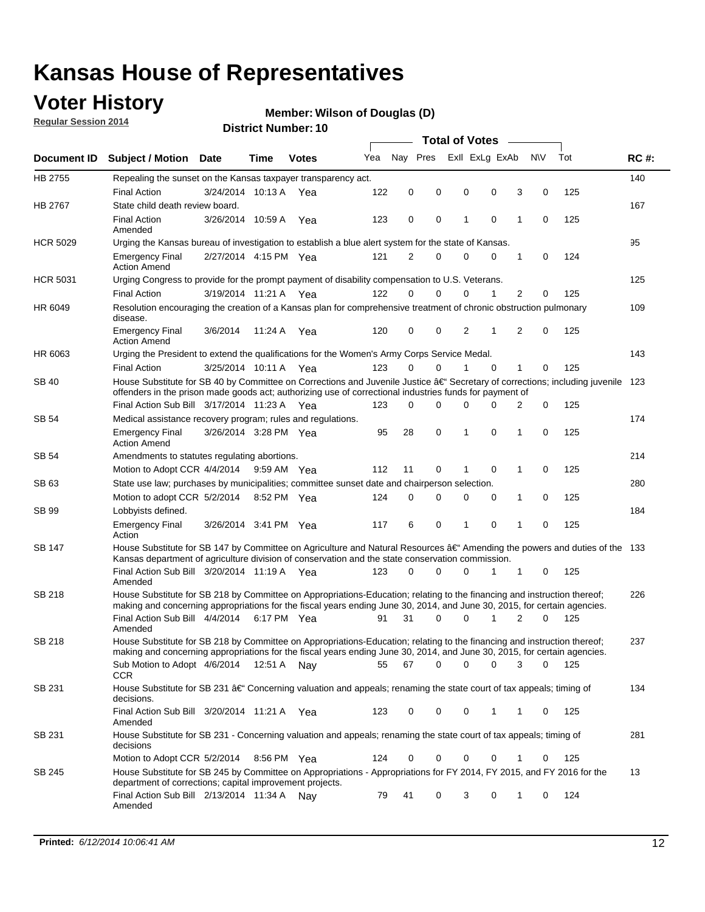### **Voter History**

**Regular Session 2014**

#### **Wilson of Douglas (D)**

|                    |                                                                                                                                                                                                                                      |                       |             |              |     |          |          | <b>Total of Votes</b> |                |             |                |             |     |             |
|--------------------|--------------------------------------------------------------------------------------------------------------------------------------------------------------------------------------------------------------------------------------|-----------------------|-------------|--------------|-----|----------|----------|-----------------------|----------------|-------------|----------------|-------------|-----|-------------|
| <b>Document ID</b> | <b>Subject / Motion Date</b>                                                                                                                                                                                                         |                       | Time        | <b>Votes</b> | Yea | Nav Pres |          |                       | Exll ExLg ExAb |             | <b>NV</b>      |             | Tot | <b>RC#:</b> |
| HB 2755            | Repealing the sunset on the Kansas taxpayer transparency act.                                                                                                                                                                        |                       |             |              |     |          |          |                       |                |             |                |             |     | 140         |
|                    | <b>Final Action</b>                                                                                                                                                                                                                  | 3/24/2014 10:13 A     |             | Yea          | 122 | 0        | 0        | 0                     |                | 0           | 3              | 0           | 125 |             |
| HB 2767            | State child death review board.                                                                                                                                                                                                      |                       |             |              |     |          |          |                       |                |             |                |             |     | 167         |
|                    | <b>Final Action</b><br>Amended                                                                                                                                                                                                       | 3/26/2014 10:59 A     |             | Yea          | 123 | 0        | 0        | 1                     |                | $\mathbf 0$ | 1              | 0           | 125 |             |
| <b>HCR 5029</b>    | Urging the Kansas bureau of investigation to establish a blue alert system for the state of Kansas.                                                                                                                                  |                       |             |              |     |          |          |                       |                |             |                |             |     | 95          |
|                    | <b>Emergency Final</b><br><b>Action Amend</b>                                                                                                                                                                                        | 2/27/2014 4:15 PM Yea |             |              | 121 | 2        | 0        | 0                     |                | 0           | 1              | 0           | 124 |             |
| <b>HCR 5031</b>    | Urging Congress to provide for the prompt payment of disability compensation to U.S. Veterans.                                                                                                                                       |                       |             |              |     |          |          |                       |                |             |                |             |     | 125         |
|                    | <b>Final Action</b>                                                                                                                                                                                                                  | 3/19/2014 11:21 A Yea |             |              | 122 | $\Omega$ | $\Omega$ | 0                     |                | 1           | 2              | 0           | 125 |             |
| HR 6049            | Resolution encouraging the creation of a Kansas plan for comprehensive treatment of chronic obstruction pulmonary<br>disease.                                                                                                        |                       |             |              |     |          |          |                       |                |             |                |             |     | 109         |
|                    | <b>Emergency Final</b><br><b>Action Amend</b>                                                                                                                                                                                        | 3/6/2014              | 11:24 A     | Yea          | 120 | 0        | 0        | $\overline{2}$        | 1              |             | $\overline{2}$ | $\mathbf 0$ | 125 |             |
| HR 6063            | Urging the President to extend the qualifications for the Women's Army Corps Service Medal.                                                                                                                                          |                       |             |              |     |          |          |                       |                |             |                |             |     | 143         |
|                    | <b>Final Action</b>                                                                                                                                                                                                                  | 3/25/2014 10:11 A Yea |             |              | 123 | $\Omega$ | $\Omega$ | 1                     |                | $\Omega$    | 1              | 0           | 125 |             |
| SB 40              | House Substitute for SB 40 by Committee on Corrections and Juvenile Justice †Secretary of corrections; including juvenile<br>offenders in the prison made goods act; authorizing use of correctional industries funds for payment of |                       |             |              |     |          |          |                       |                |             |                |             |     | 123         |
|                    | Final Action Sub Bill 3/17/2014 11:23 A Yea                                                                                                                                                                                          |                       |             |              | 123 | 0        | 0        | 0                     |                | $\Omega$    | 2              | 0           | 125 |             |
| SB 54              | Medical assistance recovery program; rules and regulations.                                                                                                                                                                          |                       |             |              |     |          |          |                       |                |             |                |             |     | 174         |
|                    | <b>Emergency Final</b><br><b>Action Amend</b>                                                                                                                                                                                        | 3/26/2014 3:28 PM Yea |             |              | 95  | 28       | 0        | 1                     |                | 0           | 1              | 0           | 125 |             |
| SB 54              | Amendments to statutes regulating abortions.                                                                                                                                                                                         |                       |             |              |     |          |          |                       |                |             |                |             |     | 214         |
|                    | Motion to Adopt CCR 4/4/2014                                                                                                                                                                                                         |                       | 9:59 AM Yea |              | 112 | 11       | 0        |                       |                | $\mathbf 0$ | 1              | 0           | 125 |             |
| SB 63              | State use law; purchases by municipalities; committee sunset date and chairperson selection.                                                                                                                                         |                       |             |              |     |          |          |                       |                |             |                |             |     | 280         |
|                    | Motion to adopt CCR 5/2/2014                                                                                                                                                                                                         |                       | 8:52 PM Yea |              | 124 | 0        | 0        | 0                     |                | 0           | 1              | 0           | 125 |             |
| SB 99              | Lobbyists defined.                                                                                                                                                                                                                   |                       |             |              |     |          |          |                       |                |             |                |             |     | 184         |
|                    | <b>Emergency Final</b><br>Action                                                                                                                                                                                                     | 3/26/2014 3:41 PM Yea |             |              | 117 | 6        | 0        | 1                     |                | 0           | 1              | 0           | 125 |             |
| SB 147             | House Substitute for SB 147 by Committee on Agriculture and Natural Resources †Amending the powers and duties of the 133<br>Kansas department of agriculture division of conservation and the state conservation commission.         |                       |             |              |     |          |          |                       |                |             |                |             |     |             |
|                    | Final Action Sub Bill 3/20/2014 11:19 A Yea<br>Amended                                                                                                                                                                               |                       |             |              | 123 | 0        | $\Omega$ | 0                     |                | 1           | 1              | 0           | 125 |             |
| SB 218             | House Substitute for SB 218 by Committee on Appropriations-Education; relating to the financing and instruction thereof;                                                                                                             |                       |             |              |     |          |          |                       |                |             |                |             |     | 226         |
|                    | making and concerning appropriations for the fiscal years ending June 30, 2014, and June 30, 2015, for certain agencies.<br>Final Action Sub Bill 4/4/2014<br>Amended                                                                |                       | 6:17 PM Yea |              | 91  | 31       | $\Omega$ | 0                     |                | 1           | $\overline{2}$ | $\Omega$    | 125 |             |
| SB 218             | House Substitute for SB 218 by Committee on Appropriations-Education; relating to the financing and instruction thereof;                                                                                                             |                       |             |              |     |          |          |                       |                |             |                |             |     | 237         |
|                    | making and concerning appropriations for the fiscal years ending June 30, 2014, and June 30, 2015, for certain agencies.                                                                                                             |                       |             |              |     |          |          |                       |                |             |                |             |     |             |
|                    | Sub Motion to Adopt 4/6/2014 12:51 A Nay<br><b>CCR</b>                                                                                                                                                                               |                       |             |              | 55  | 67       | 0        | 0                     |                | 0           | 3              | 0           | 125 |             |
| SB 231             | House Substitute for SB 231 †Concerning valuation and appeals; renaming the state court of tax appeals; timing of<br>decisions.                                                                                                      |                       |             |              |     |          |          |                       |                |             |                |             |     | 134         |
|                    | Final Action Sub Bill 3/20/2014 11:21 A Yea<br>Amended                                                                                                                                                                               |                       |             |              | 123 | 0        | 0        | 0                     |                | 1           | 1              | 0           | 125 |             |
| SB 231             | House Substitute for SB 231 - Concerning valuation and appeals; renaming the state court of tax appeals; timing of<br>decisions                                                                                                      |                       |             |              |     |          |          |                       |                |             |                |             |     | 281         |
|                    | Motion to Adopt CCR 5/2/2014                                                                                                                                                                                                         |                       | 8:56 PM Yea |              | 124 | 0        | 0        | 0                     |                | $\mathbf 0$ | 1              | 0           | 125 |             |
| SB 245             | House Substitute for SB 245 by Committee on Appropriations - Appropriations for FY 2014, FY 2015, and FY 2016 for the<br>department of corrections; capital improvement projects.                                                    |                       |             |              |     |          |          |                       |                |             |                |             |     | 13          |
|                    | Final Action Sub Bill 2/13/2014 11:34 A Nay<br>Amended                                                                                                                                                                               |                       |             |              | 79  | 41       | 0        | 3                     |                | 0           | 1              | 0           | 124 |             |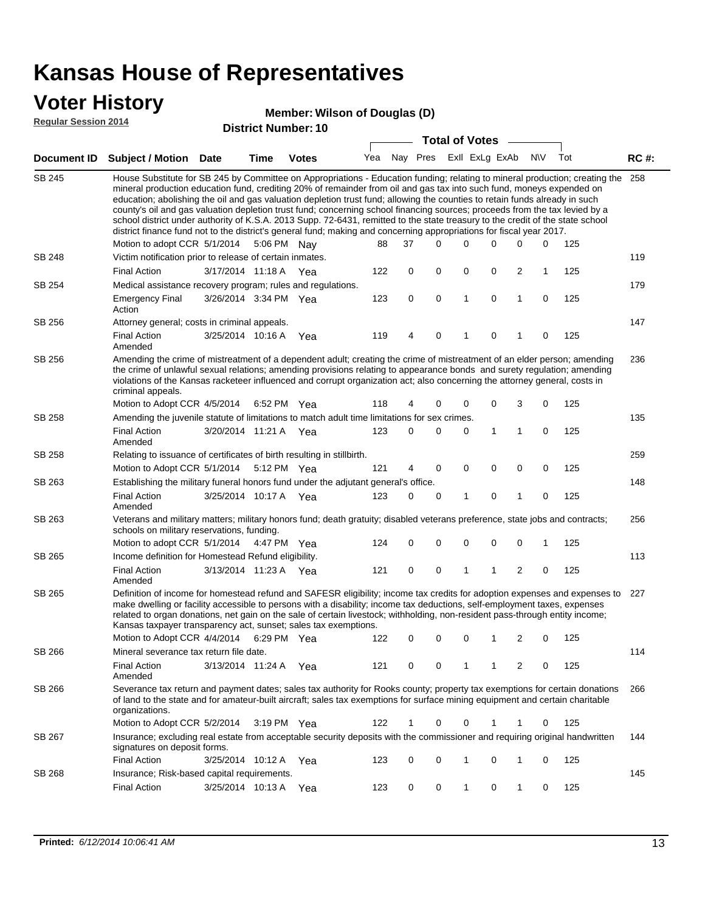#### **Voter History**

#### **Wilson of Douglas (D)**

**Regular Session 2014**

|               |                                                                                                                                                                                                                                                                                                                                                                                                                                                                                                                                                                                                                                                                                                                                                                                                               |                       |      | <b>DISTRICT NUMBER: 10</b> |     |          | <b>Total of Votes</b> |   |                |              |           |     |             |
|---------------|---------------------------------------------------------------------------------------------------------------------------------------------------------------------------------------------------------------------------------------------------------------------------------------------------------------------------------------------------------------------------------------------------------------------------------------------------------------------------------------------------------------------------------------------------------------------------------------------------------------------------------------------------------------------------------------------------------------------------------------------------------------------------------------------------------------|-----------------------|------|----------------------------|-----|----------|-----------------------|---|----------------|--------------|-----------|-----|-------------|
|               |                                                                                                                                                                                                                                                                                                                                                                                                                                                                                                                                                                                                                                                                                                                                                                                                               |                       |      |                            |     |          |                       |   |                |              |           |     |             |
|               | Document ID Subject / Motion                                                                                                                                                                                                                                                                                                                                                                                                                                                                                                                                                                                                                                                                                                                                                                                  | <b>Date</b>           | Time | <b>Votes</b>               | Yea | Nay Pres |                       |   | Exll ExLg ExAb |              | <b>NV</b> | Tot | <b>RC#:</b> |
| SB 245        | House Substitute for SB 245 by Committee on Appropriations - Education funding; relating to mineral production; creating the<br>mineral production education fund, crediting 20% of remainder from oil and gas tax into such fund, moneys expended on<br>education; abolishing the oil and gas valuation depletion trust fund; allowing the counties to retain funds already in such<br>county's oil and gas valuation depletion trust fund; concerning school financing sources; proceeds from the tax levied by a<br>school district under authority of K.S.A. 2013 Supp. 72-6431, remitted to the state treasury to the credit of the state school<br>district finance fund not to the district's general fund; making and concerning appropriations for fiscal year 2017.<br>Motion to adopt CCR 5/1/2014 |                       |      | 5:06 PM Nay                | 88  | 37       | $\Omega$              | 0 | 0              | 0            | 0         | 125 | 258         |
| <b>SB 248</b> | Victim notification prior to release of certain inmates.                                                                                                                                                                                                                                                                                                                                                                                                                                                                                                                                                                                                                                                                                                                                                      |                       |      |                            |     |          |                       |   |                |              |           |     | 119         |
|               | <b>Final Action</b>                                                                                                                                                                                                                                                                                                                                                                                                                                                                                                                                                                                                                                                                                                                                                                                           | 3/17/2014 11:18 A Yea |      |                            | 122 | 0        | 0                     | 0 | 0              | 2            | 1         | 125 |             |
| SB 254        | Medical assistance recovery program; rules and regulations.                                                                                                                                                                                                                                                                                                                                                                                                                                                                                                                                                                                                                                                                                                                                                   |                       |      |                            |     |          |                       |   |                |              |           |     | 179         |
|               | <b>Emergency Final</b><br>Action                                                                                                                                                                                                                                                                                                                                                                                                                                                                                                                                                                                                                                                                                                                                                                              | 3/26/2014 3:34 PM Yea |      |                            | 123 | 0        | 0                     | 1 | $\mathbf 0$    | $\mathbf{1}$ | 0         | 125 |             |
| SB 256        | Attorney general; costs in criminal appeals.                                                                                                                                                                                                                                                                                                                                                                                                                                                                                                                                                                                                                                                                                                                                                                  |                       |      |                            |     |          |                       |   |                |              |           |     | 147         |
|               | <b>Final Action</b><br>Amended                                                                                                                                                                                                                                                                                                                                                                                                                                                                                                                                                                                                                                                                                                                                                                                | 3/25/2014 10:16 A     |      | Yea                        | 119 | 4        | 0                     | 1 | 0              | 1            | 0         | 125 |             |
| SB 256        | Amending the crime of mistreatment of a dependent adult; creating the crime of mistreatment of an elder person; amending<br>the crime of unlawful sexual relations; amending provisions relating to appearance bonds and surety regulation; amending<br>violations of the Kansas racketeer influenced and corrupt organization act; also concerning the attorney general, costs in<br>criminal appeals.                                                                                                                                                                                                                                                                                                                                                                                                       |                       |      |                            |     |          |                       |   |                |              |           |     | 236         |
|               | Motion to Adopt CCR 4/5/2014                                                                                                                                                                                                                                                                                                                                                                                                                                                                                                                                                                                                                                                                                                                                                                                  |                       |      | 6:52 PM Yea                | 118 | 4        | 0                     | 0 | 0              | 3            | 0         | 125 |             |
| SB 258        | Amending the juvenile statute of limitations to match adult time limitations for sex crimes.                                                                                                                                                                                                                                                                                                                                                                                                                                                                                                                                                                                                                                                                                                                  |                       |      |                            |     |          |                       |   |                |              |           |     | 135         |
|               | <b>Final Action</b><br>Amended                                                                                                                                                                                                                                                                                                                                                                                                                                                                                                                                                                                                                                                                                                                                                                                | 3/20/2014 11:21 A Yea |      |                            | 123 | 0        | 0                     | 0 | 1              | 1            | 0         | 125 |             |
| SB 258        | Relating to issuance of certificates of birth resulting in stillbirth.                                                                                                                                                                                                                                                                                                                                                                                                                                                                                                                                                                                                                                                                                                                                        |                       |      |                            |     |          |                       |   |                |              |           |     | 259         |
|               | Motion to Adopt CCR 5/1/2014                                                                                                                                                                                                                                                                                                                                                                                                                                                                                                                                                                                                                                                                                                                                                                                  |                       |      | 5:12 PM Yea                | 121 | 4        | 0                     | 0 | $\mathbf 0$    | 0            | 0         | 125 |             |
| SB 263        | Establishing the military funeral honors fund under the adjutant general's office.                                                                                                                                                                                                                                                                                                                                                                                                                                                                                                                                                                                                                                                                                                                            |                       |      |                            |     |          |                       |   |                |              |           |     | 148         |
|               | <b>Final Action</b><br>Amended                                                                                                                                                                                                                                                                                                                                                                                                                                                                                                                                                                                                                                                                                                                                                                                | 3/25/2014 10:17 A Yea |      |                            | 123 | 0        | 0                     | 1 | 0              | 1            | 0         | 125 |             |
| SB 263        | Veterans and military matters; military honors fund; death gratuity; disabled veterans preference, state jobs and contracts;<br>schools on military reservations, funding.                                                                                                                                                                                                                                                                                                                                                                                                                                                                                                                                                                                                                                    |                       |      |                            |     |          |                       |   |                |              |           |     | 256         |
|               | Motion to adopt CCR 5/1/2014                                                                                                                                                                                                                                                                                                                                                                                                                                                                                                                                                                                                                                                                                                                                                                                  |                       |      | 4:47 PM Yea                | 124 | 0        | 0                     | 0 | 0              | 0            | 1         | 125 |             |
| SB 265        | Income definition for Homestead Refund eligibility.                                                                                                                                                                                                                                                                                                                                                                                                                                                                                                                                                                                                                                                                                                                                                           |                       |      |                            |     |          |                       |   |                |              |           |     | 113         |
|               | <b>Final Action</b><br>Amended                                                                                                                                                                                                                                                                                                                                                                                                                                                                                                                                                                                                                                                                                                                                                                                | 3/13/2014 11:23 A Yea |      |                            | 121 | 0        | 0                     | 1 | 1              | 2            | 0         | 125 |             |
| SB 265        | Definition of income for homestead refund and SAFESR eligibility; income tax credits for adoption expenses and expenses to<br>make dwelling or facility accessible to persons with a disability; income tax deductions, self-employment taxes, expenses<br>related to organ donations, net gain on the sale of certain livestock; withholding, non-resident pass-through entity income;<br>Kansas taxpayer transparency act, sunset; sales tax exemptions.<br>Motion to Adopt CCR 4/4/2014                                                                                                                                                                                                                                                                                                                    |                       |      | 6:29 PM Yea                | 122 | 0        | 0                     | 0 | 1              | 2            | 0         | 125 | 227         |
| SB 266        | Mineral severance tax return file date.                                                                                                                                                                                                                                                                                                                                                                                                                                                                                                                                                                                                                                                                                                                                                                       |                       |      |                            |     |          |                       |   |                |              |           |     | 114         |
|               | <b>Final Action</b><br>Amended                                                                                                                                                                                                                                                                                                                                                                                                                                                                                                                                                                                                                                                                                                                                                                                | 3/13/2014 11:24 A Yea |      |                            | 121 | 0        | 0                     | 1 | 1              | 2            | 0         | 125 |             |
| SB 266        | Severance tax return and payment dates; sales tax authority for Rooks county; property tax exemptions for certain donations<br>of land to the state and for amateur-built aircraft; sales tax exemptions for surface mining equipment and certain charitable<br>organizations.                                                                                                                                                                                                                                                                                                                                                                                                                                                                                                                                |                       |      |                            |     |          |                       |   |                |              |           |     | 266         |
|               | Motion to Adopt CCR 5/2/2014                                                                                                                                                                                                                                                                                                                                                                                                                                                                                                                                                                                                                                                                                                                                                                                  |                       |      | $3:19 \text{ PM}$ Yea      | 122 | 1        | 0                     | 0 |                | 1            | 0         | 125 |             |
| SB 267        | Insurance; excluding real estate from acceptable security deposits with the commissioner and requiring original handwritten<br>signatures on deposit forms.                                                                                                                                                                                                                                                                                                                                                                                                                                                                                                                                                                                                                                                   |                       |      |                            |     |          |                       |   |                |              |           |     | 144         |
|               | <b>Final Action</b>                                                                                                                                                                                                                                                                                                                                                                                                                                                                                                                                                                                                                                                                                                                                                                                           | 3/25/2014 10:12 A     |      | Yea                        | 123 | 0        | 0                     | 1 | 0              | 1            | 0         | 125 |             |
| <b>SB 268</b> | Insurance; Risk-based capital requirements.                                                                                                                                                                                                                                                                                                                                                                                                                                                                                                                                                                                                                                                                                                                                                                   |                       |      |                            |     |          |                       |   |                |              |           |     | 145         |
|               | <b>Final Action</b>                                                                                                                                                                                                                                                                                                                                                                                                                                                                                                                                                                                                                                                                                                                                                                                           | 3/25/2014 10:13 A     |      | Yea                        | 123 | 0        | 0                     | 1 | 0              | 1            | 0         | 125 |             |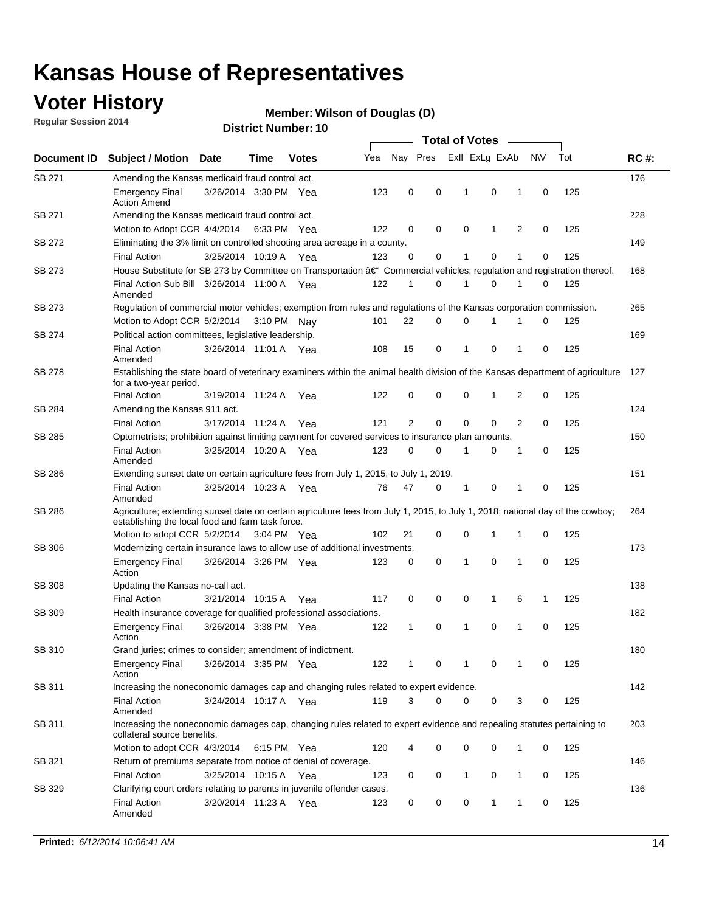### **Voter History**

**Regular Session 2014**

#### **Wilson of Douglas (D)**

|               |                                                                                                                                                                                    |                       |             |              |     | <b>Total of Votes</b> |          |  |                |              |   |             |     |             |
|---------------|------------------------------------------------------------------------------------------------------------------------------------------------------------------------------------|-----------------------|-------------|--------------|-----|-----------------------|----------|--|----------------|--------------|---|-------------|-----|-------------|
| Document ID   | <b>Subject / Motion</b>                                                                                                                                                            | <b>Date</b>           | Time        | <b>Votes</b> | Yea | Nay Pres              |          |  | Exll ExLg ExAb |              |   | <b>NV</b>   | Tot | <b>RC#:</b> |
| SB 271        | Amending the Kansas medicaid fraud control act.                                                                                                                                    |                       |             |              |     |                       |          |  |                |              |   |             |     | 176         |
|               | <b>Emergency Final</b><br><b>Action Amend</b>                                                                                                                                      | 3/26/2014 3:30 PM Yea |             |              | 123 | 0                     | 0        |  | 1              | $\mathbf 0$  | 1 | $\mathbf 0$ | 125 |             |
| SB 271        | Amending the Kansas medicaid fraud control act.                                                                                                                                    |                       |             |              |     |                       |          |  |                |              |   |             |     | 228         |
|               | Motion to Adopt CCR 4/4/2014 6:33 PM Yea                                                                                                                                           |                       |             |              | 122 | 0                     | 0        |  | $\mathbf 0$    | 1            | 2 | $\mathbf 0$ | 125 |             |
| SB 272        | Eliminating the 3% limit on controlled shooting area acreage in a county.                                                                                                          |                       |             |              |     |                       |          |  |                |              |   |             |     | 149         |
|               | <b>Final Action</b>                                                                                                                                                                | 3/25/2014 10:19 A Yea |             |              | 123 | $\Omega$              | 0        |  | 1              | 0            | 1 | $\mathbf 0$ | 125 |             |
| SB 273        | House Substitute for SB 273 by Committee on Transportation †Commercial vehicles; regulation and registration thereof.                                                              |                       |             |              |     |                       |          |  |                |              |   |             |     | 168         |
|               | Final Action Sub Bill 3/26/2014 11:00 A Yea<br>Amended                                                                                                                             |                       |             |              | 122 | 1                     | 0        |  | 1              | 0            | 1 | 0           | 125 |             |
| SB 273        | Regulation of commercial motor vehicles; exemption from rules and regulations of the Kansas corporation commission.                                                                |                       |             |              |     |                       |          |  |                |              |   |             |     | 265         |
|               | Motion to Adopt CCR 5/2/2014                                                                                                                                                       |                       | 3:10 PM Nav |              | 101 | 22                    | 0        |  | 0              |              |   | 0           | 125 |             |
| SB 274        | Political action committees, legislative leadership.                                                                                                                               |                       |             |              |     |                       |          |  |                |              |   |             |     | 169         |
|               | <b>Final Action</b><br>Amended                                                                                                                                                     | 3/26/2014 11:01 A Yea |             |              | 108 | 15                    | 0        |  | 1              | 0            | 1 | 0           | 125 |             |
| <b>SB 278</b> | Establishing the state board of veterinary examiners within the animal health division of the Kansas department of agriculture<br>for a two-year period.                           |                       |             |              |     |                       |          |  |                |              |   |             |     | 127         |
|               | <b>Final Action</b>                                                                                                                                                                | 3/19/2014 11:24 A     |             | Yea          | 122 | 0                     | 0        |  | $\mathbf 0$    | 1            | 2 | 0           | 125 |             |
| SB 284        | Amending the Kansas 911 act.                                                                                                                                                       |                       |             |              |     |                       |          |  |                |              |   |             |     | 124         |
|               | <b>Final Action</b>                                                                                                                                                                | 3/17/2014 11:24 A     |             | Yea          | 121 | $\overline{2}$        | 0        |  | 0              | 0            | 2 | 0           | 125 |             |
| SB 285        | Optometrists; prohibition against limiting payment for covered services to insurance plan amounts.                                                                                 |                       |             |              |     |                       |          |  |                |              |   |             |     | 150         |
|               | <b>Final Action</b><br>Amended                                                                                                                                                     | 3/25/2014 10:20 A Yea |             |              | 123 | 0                     | 0        |  | 1              | 0            | 1 | 0           | 125 |             |
| SB 286        | Extending sunset date on certain agriculture fees from July 1, 2015, to July 1, 2019.                                                                                              |                       |             |              |     |                       |          |  |                |              |   |             |     | 151         |
|               | <b>Final Action</b><br>Amended                                                                                                                                                     | 3/25/2014 10:23 A Yea |             |              | 76  | 47                    | 0        |  | 1              | 0            | 1 | $\mathbf 0$ | 125 |             |
| SB 286        | Agriculture; extending sunset date on certain agriculture fees from July 1, 2015, to July 1, 2018; national day of the cowboy;<br>establishing the local food and farm task force. |                       |             |              |     |                       |          |  |                |              |   |             |     | 264         |
|               | Motion to adopt CCR 5/2/2014 3:04 PM Yea                                                                                                                                           |                       |             |              | 102 | 21                    | 0        |  | 0              | 1            | 1 | 0           | 125 |             |
| SB 306        | Modernizing certain insurance laws to allow use of additional investments.                                                                                                         |                       |             |              |     |                       |          |  |                |              |   |             |     | 173         |
|               | Emergency Final<br>Action                                                                                                                                                          | 3/26/2014 3:26 PM Yea |             |              | 123 | 0                     | 0        |  | 1              | $\mathbf 0$  | 1 | $\mathbf 0$ | 125 |             |
| <b>SB 308</b> | Updating the Kansas no-call act.                                                                                                                                                   |                       |             |              |     |                       |          |  |                |              |   |             |     | 138         |
|               | <b>Final Action</b>                                                                                                                                                                | 3/21/2014 10:15 A     |             | Yea          | 117 | 0                     | 0        |  | 0              | $\mathbf{1}$ | 6 | 1           | 125 |             |
| SB 309        | Health insurance coverage for qualified professional associations.                                                                                                                 |                       |             |              |     |                       |          |  |                |              |   |             |     | 182         |
|               | <b>Emergency Final</b><br>Action                                                                                                                                                   | 3/26/2014 3:38 PM Yea |             |              | 122 | 1                     | 0        |  | 1              | 0            | 1 | $\Omega$    | 125 |             |
| SB 310        | Grand juries; crimes to consider; amendment of indictment.                                                                                                                         |                       |             |              |     |                       |          |  |                |              |   |             |     | 180         |
|               | <b>Emergency Final</b><br>Action                                                                                                                                                   | 3/26/2014 3:35 PM Yea |             |              | 122 | 1                     | 0        |  | 1              | 0            | 1 | 0           | 125 |             |
| SB 311        | Increasing the noneconomic damages cap and changing rules related to expert evidence.                                                                                              |                       |             |              |     |                       |          |  |                |              |   |             |     | 142         |
|               | <b>Final Action</b><br>Amended                                                                                                                                                     | 3/24/2014 10:17 A Yea |             |              | 119 | 3                     | $\Omega$ |  | 0              | 0            | 3 | 0           | 125 |             |
| SB 311        | Increasing the noneconomic damages cap, changing rules related to expert evidence and repealing statutes pertaining to<br>collateral source benefits.                              |                       |             |              |     |                       |          |  |                |              |   |             |     | 203         |
|               | Motion to adopt CCR 4/3/2014 6:15 PM Yea                                                                                                                                           |                       |             |              | 120 | 4                     | 0        |  | 0              | 0            | 1 | 0           | 125 |             |
| SB 321        | Return of premiums separate from notice of denial of coverage.                                                                                                                     |                       |             |              |     |                       |          |  |                |              |   |             |     | 146         |
|               | <b>Final Action</b>                                                                                                                                                                | 3/25/2014 10:15 A Yea |             |              | 123 | 0                     | 0        |  | 1              | 0            | 1 | 0           | 125 |             |
| SB 329        | Clarifying court orders relating to parents in juvenile offender cases.<br><b>Final Action</b><br>Amended                                                                          | 3/20/2014 11:23 A Yea |             |              | 123 | 0                     | 0        |  | 0              | $\mathbf{1}$ | 1 | 0           | 125 | 136         |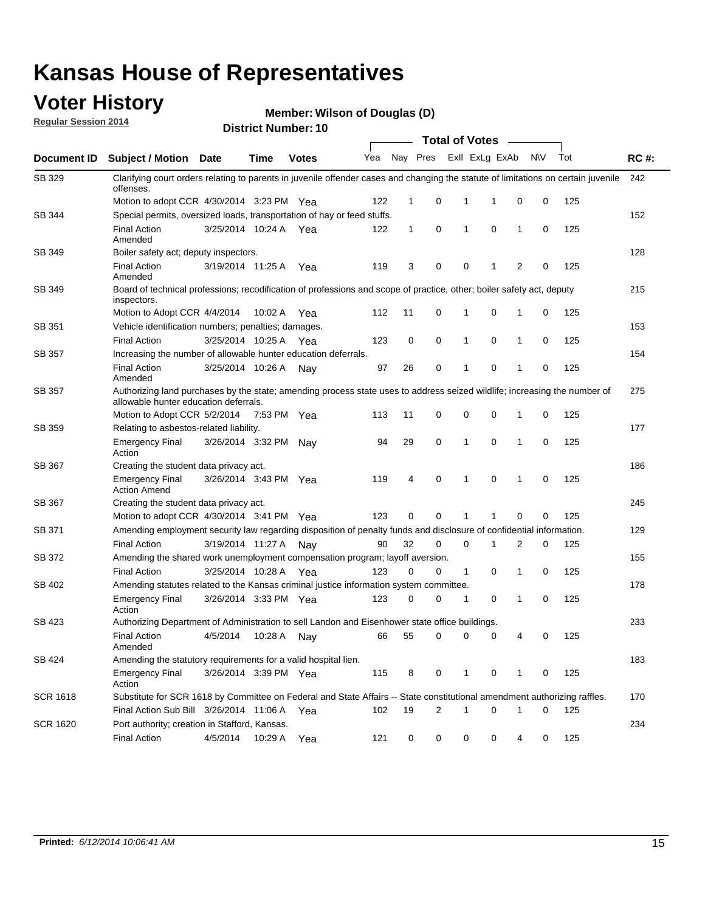### **Voter History**

**Regular Session 2014**

**Wilson of Douglas (D)**

|                    |                                                                                                                                                                    |                       |             |              |     |              |   | <b>Total of Votes</b> |                |             |           |     |             |
|--------------------|--------------------------------------------------------------------------------------------------------------------------------------------------------------------|-----------------------|-------------|--------------|-----|--------------|---|-----------------------|----------------|-------------|-----------|-----|-------------|
| <b>Document ID</b> | <b>Subject / Motion Date</b>                                                                                                                                       |                       | Time        | <b>Votes</b> | Yea | Nay Pres     |   |                       | Exll ExLg ExAb |             | <b>NV</b> | Tot | <b>RC#:</b> |
| SB 329             | Clarifying court orders relating to parents in juvenile offender cases and changing the statute of limitations on certain juvenile<br>offenses.                    |                       |             |              |     |              |   |                       |                |             |           |     | 242         |
|                    | Motion to adopt CCR 4/30/2014 3:23 PM Yea                                                                                                                          |                       |             |              | 122 | 1            | 0 | 1                     | 1              | 0           | 0         | 125 |             |
| <b>SB 344</b>      | Special permits, oversized loads, transportation of hay or feed stuffs.                                                                                            |                       |             |              |     |              |   |                       |                |             |           |     | 152         |
|                    | <b>Final Action</b><br>Amended                                                                                                                                     | 3/25/2014 10:24 A     |             | Yea          | 122 | $\mathbf{1}$ | 0 | 1                     | $\mathbf 0$    | 1           | 0         | 125 |             |
| SB 349             | Boiler safety act; deputy inspectors.                                                                                                                              |                       |             |              |     |              |   |                       |                |             |           |     | 128         |
|                    | <b>Final Action</b><br>Amended                                                                                                                                     | 3/19/2014 11:25 A     |             | Yea          | 119 | 3            | 0 | 0                     | 1              | 2           | 0         | 125 |             |
| SB 349             | Board of technical professions; recodification of professions and scope of practice, other; boiler safety act, deputy<br>inspectors.                               |                       |             |              |     |              |   |                       |                |             |           |     | 215         |
|                    | Motion to Adopt CCR 4/4/2014                                                                                                                                       |                       | 10:02 A     | Yea          | 112 | 11           | 0 | 1                     | 0              | 1           | 0         | 125 |             |
| SB 351             | Vehicle identification numbers; penalties; damages.                                                                                                                |                       |             |              |     |              |   |                       |                |             |           |     | 153         |
|                    | <b>Final Action</b>                                                                                                                                                | 3/25/2014 10:25 A     |             | Yea          | 123 | 0            | 0 | 1                     | 0              | 1           | 0         | 125 |             |
| SB 357             | Increasing the number of allowable hunter education deferrals.                                                                                                     |                       |             |              |     |              |   |                       |                |             |           |     | 154         |
|                    | <b>Final Action</b><br>Amended                                                                                                                                     | 3/25/2014 10:26 A     |             | Nav          | 97  | 26           | 0 | 1                     | 0              | 1           | 0         | 125 |             |
| SB 357             | Authorizing land purchases by the state; amending process state uses to address seized wildlife; increasing the number of<br>allowable hunter education deferrals. |                       |             |              |     |              |   |                       |                |             |           |     | 275         |
|                    | Motion to Adopt CCR 5/2/2014                                                                                                                                       |                       | 7:53 PM Yea |              | 113 | 11           | 0 | 0                     | $\mathbf 0$    | 1           | 0         | 125 |             |
| SB 359             | Relating to asbestos-related liability.                                                                                                                            |                       |             |              |     |              |   |                       |                |             |           |     | 177         |
|                    | <b>Emergency Final</b><br>Action                                                                                                                                   | 3/26/2014 3:32 PM Nay |             |              | 94  | 29           | 0 | 1                     | $\mathbf 0$    | 1           | 0         | 125 |             |
| <b>SB 367</b>      | Creating the student data privacy act.                                                                                                                             |                       |             |              |     |              |   |                       |                |             |           |     | 186         |
|                    | <b>Emergency Final</b><br><b>Action Amend</b>                                                                                                                      | 3/26/2014 3:43 PM Yea |             |              | 119 | 4            | 0 | 1                     | $\mathbf 0$    | 1           | 0         | 125 |             |
| SB 367             | Creating the student data privacy act.                                                                                                                             |                       |             |              |     |              |   |                       |                |             |           |     | 245         |
|                    | Motion to adopt CCR 4/30/2014 3:41 PM Yea                                                                                                                          |                       |             |              | 123 | 0            | 0 | 1                     |                | $\mathbf 0$ | 0         | 125 |             |
| SB 371             | Amending employment security law regarding disposition of penalty funds and disclosure of confidential information.                                                |                       |             |              |     |              |   |                       |                |             |           |     | 129         |
|                    | <b>Final Action</b>                                                                                                                                                | 3/19/2014 11:27 A     |             | Nav          | 90  | 32           | 0 | 0                     | 1              | 2           | 0         | 125 |             |
| <b>SB 372</b>      | Amending the shared work unemployment compensation program; layoff aversion.                                                                                       |                       |             |              |     |              |   |                       |                |             |           |     | 155         |
|                    | <b>Final Action</b>                                                                                                                                                | 3/25/2014 10:28 A     |             | Yea          | 123 | 0            | 0 | 1                     | 0              | 1           | 0         | 125 |             |
| SB 402             | Amending statutes related to the Kansas criminal justice information system committee.                                                                             |                       |             |              |     |              |   |                       |                |             |           |     | 178         |
|                    | <b>Emergency Final</b><br>Action                                                                                                                                   | 3/26/2014 3:33 PM Yea |             |              | 123 | 0            | 0 | 1                     | 0              | 1           | 0         | 125 |             |
| SB 423             | Authorizing Department of Administration to sell Landon and Eisenhower state office buildings.                                                                     |                       |             |              |     |              |   |                       |                |             |           |     | 233         |
|                    | <b>Final Action</b><br>Amended                                                                                                                                     | 4/5/2014              | 10:28 A     | Nay          | 66  | 55           | 0 | 0                     | 0              | 4           | 0         | 125 |             |
| SB 424             | Amending the statutory requirements for a valid hospital lien.                                                                                                     |                       |             |              |     |              |   |                       |                |             |           |     | 183         |
|                    | <b>Emergency Final</b><br>Action                                                                                                                                   | 3/26/2014 3:39 PM Yea |             |              | 115 | 8            | 0 | 1                     | 0              | 1           | 0         | 125 |             |
| SCR 1618           | Substitute for SCR 1618 by Committee on Federal and State Affairs -- State constitutional amendment authorizing raffles.                                           |                       |             |              |     |              |   |                       |                |             |           |     | 170         |
|                    | Final Action Sub Bill 3/26/2014 11:06 A Yea                                                                                                                        |                       |             |              | 102 | 19           | 2 | 1                     | $\mathbf 0$    | 1           | 0         | 125 |             |
| SCR 1620           | Port authority; creation in Stafford, Kansas.                                                                                                                      |                       |             |              |     |              |   |                       |                |             |           |     | 234         |
|                    | <b>Final Action</b>                                                                                                                                                | 4/5/2014              | 10:29 A     | Yea          | 121 | 0            | 0 | 0                     | 0              | 4           | 0         | 125 |             |